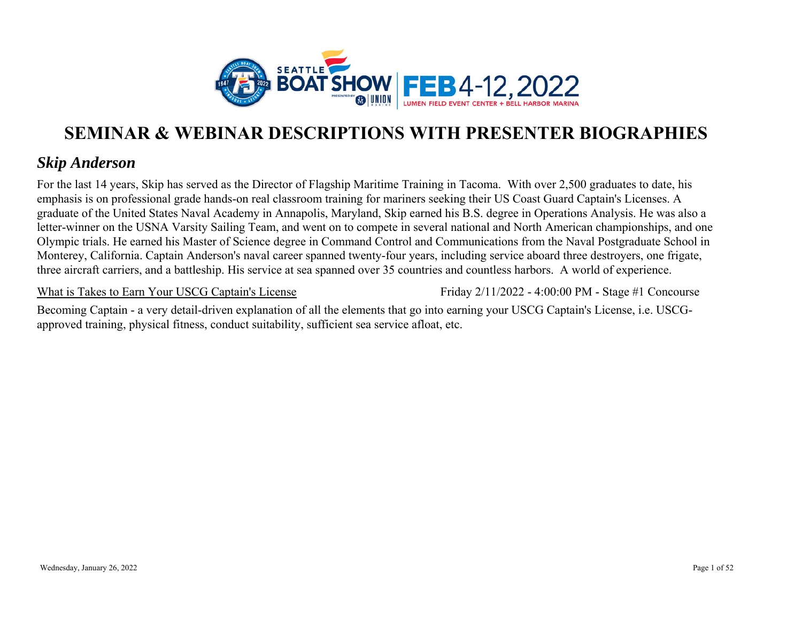

### *Skip Anderson*

For the last 14 years, Skip has served as the Director of Flagship Maritime Training in Tacoma. With over 2,500 graduates to date, his emphasis is on professional grade hands-on real classroom training for mariners seeking their US Coast Guard Captain's Licenses. A graduate of the United States Naval Academy in Annapolis, Maryland, Skip earned his B.S. degree in Operations Analysis. He was also a letter-winner on the USNA Varsity Sailing Team, and went on to compete in several national and North American championships, and one Olympic trials. He earned his Master of Science degree in Command Control and Communications from the Naval Postgraduate School in Monterey, California. Captain Anderson's naval career spanned twenty-four years, including service aboard three destroyers, one frigate, three aircraft carriers, and a battleship. His service at sea spanned over 35 countries and countless harbors. A world of experience.

What is Takes to Earn Your USCG Captain's License

Friday 2/11/2022 - 4:00:00 PM - Stage #1 Concourse

Becoming Captain - a very detail-driven explanation of all the elements that go into earning your USCG Captain's License, i.e. USCGapproved training, physical fitness, conduct suitability, sufficient sea service afloat, etc.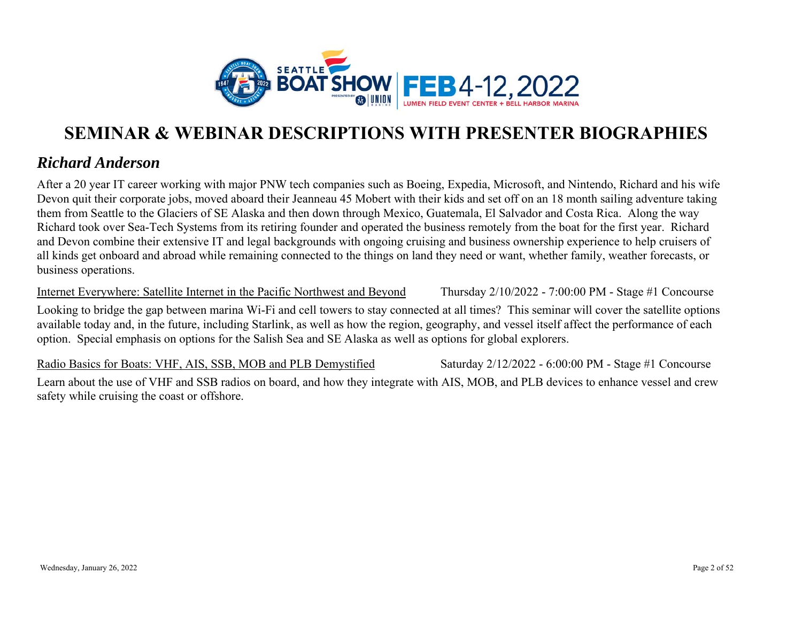

### *Richard Anderson*

After a 20 year IT career working with major PNW tech companies such as Boeing, Expedia, Microsoft, and Nintendo, Richard and his wife Devon quit their corporate jobs, moved aboard their Jeanneau 45 Mobert with their kids and set off on an 18 month sailing adventure taking them from Seattle to the Glaciers of SE Alaska and then down through Mexico, Guatemala, El Salvador and Costa Rica. Along the way Richard took over Sea-Tech Systems from its retiring founder and operated the business remotely from the boat for the first year. Richard and Devon combine their extensive IT and legal backgrounds with ongoing cruising and business ownership experience to help cruisers of all kinds get onboard and abroad while remaining connected to the things on land they need or want, whether family, weather forecasts, or business operations.

Internet Everywhere: Satellite Internet in the Pacific Northwest and Beyond

Thursday 2/10/2022 - 7:00:00 PM - Stage #1 Concourse

Looking to bridge the gap between marina Wi-Fi and cell towers to stay connected at all times? This seminar will cover the satellite options available today and, in the future, including Starlink, as well as how the region, geography, and vessel itself affect the performance of each option. Special emphasis on options for the Salish Sea and SE Alaska as well as options for global explorers.

Radio Basics for Boats: VHF, AIS, SSB, MOB and PLB Demystified Learn about the use of VHF and SSB radios on board, and how they integrate with AIS, MOB, and PLB devices to enhance vessel and crew safety while cruising the coast or offshore. Saturday 2/12/2022 - 6:00:00 PM - Stage #1 Concourse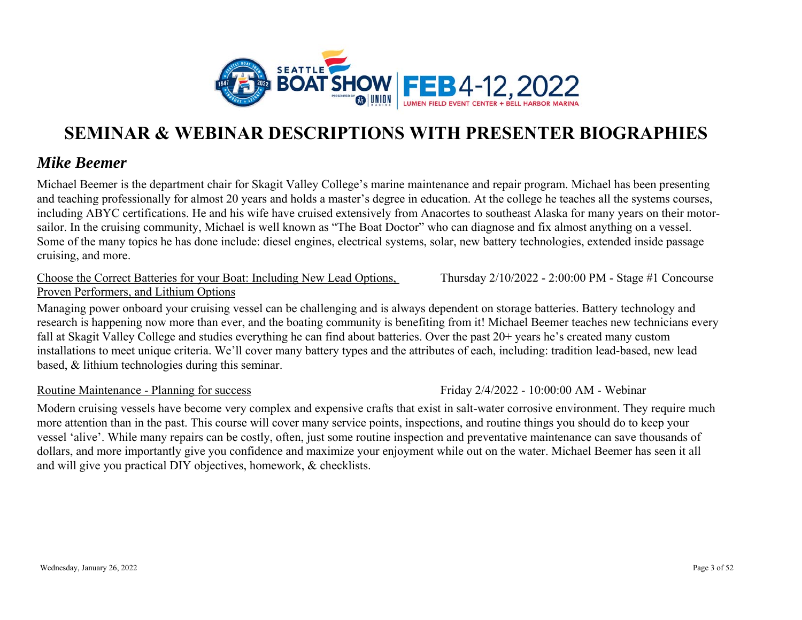

### *Mike Beemer*

Michael Beemer is the department chair for Skagit Valley College's marine maintenance and repair program. Michael has been presenting and teaching professionally for almost 20 years and holds a master's degree in education. At the college he teaches all the systems courses, including ABYC certifications. He and his wife have cruised extensively from Anacortes to southeast Alaska for many years on their motorsailor. In the cruising community, Michael is well known as "The Boat Doctor" who can diagnose and fix almost anything on a vessel. Some of the many topics he has done include: diesel engines, electrical systems, solar, new battery technologies, extended inside passage cruising, and more.

#### Choose the Correct Batteries for your Boat: Including New Lead Options, Proven Performers, and Lithium Options

Managing power onboard your cruising vessel can be challenging and is always dependent on storage batteries. Battery technology and research is happening now more than ever, and the boating community is benefiting from it! Michael Beemer teaches new technicians every fall at Skagit Valley College and studies everything he can find about batteries. Over the past 20+ years he's created many custom installations to meet unique criteria. We'll cover many battery types and the attributes of each, including: tradition lead-based, new lead based, & lithium technologies during this seminar.

#### Routine Maintenance - Planning for success

Modern cruising vessels have become very complex and expensive crafts that exist in salt-water corrosive environment. They require much more attention than in the past. This course will cover many service points, inspections, and routine things you should do to keep your vessel 'alive'. While many repairs can be costly, often, just some routine inspection and preventative maintenance can save thousands of dollars, and more importantly give you confidence and maximize your enjoyment while out on the water. Michael Beemer has seen it all and will give you practical DIY objectives, homework, & checklists.

Thursday 2/10/2022 - 2:00:00 PM - Stage #1 Concourse

Friday 2/4/2022 - 10:00:00 AM - Webinar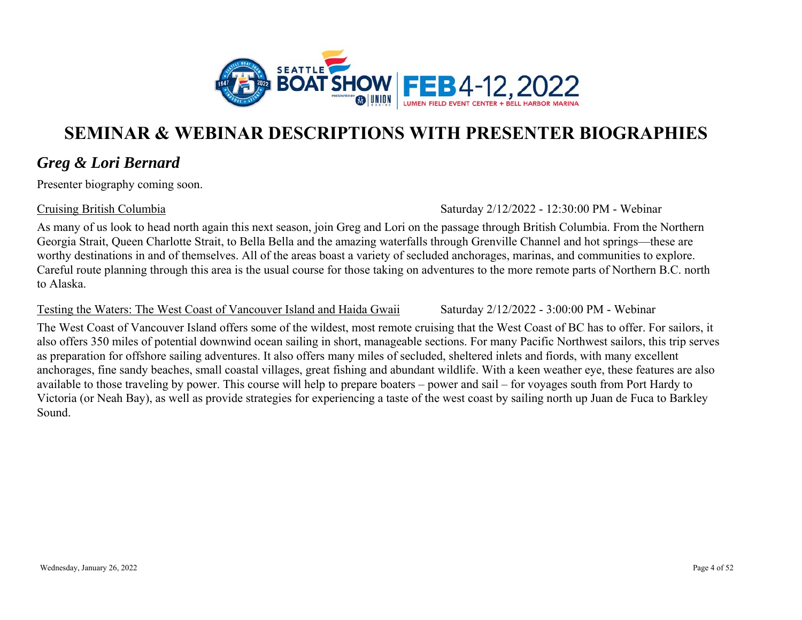

### *Greg & Lori Bernard*

Presenter biography coming soon.

Cruising British Columbia

Saturday 2/12/2022 - 12:30:00 PM - Webinar

Saturday 2/12/2022 - 3:00:00 PM - Webinar

As many of us look to head north again this next season, join Greg and Lori on the passage through British Columbia. From the Northern Georgia Strait, Queen Charlotte Strait, to Bella Bella and the amazing waterfalls through Grenville Channel and hot springs—these are worthy destinations in and of themselves. All of the areas boast a variety of secluded anchorages, marinas, and communities to explore. Careful route planning through this area is the usual course for those taking on adventures to the more remote parts of Northern B.C. north to Alaska.

#### Testing the Waters: The West Coast of Vancouver Island and Haida Gwaii

The West Coast of Vancouver Island offers some of the wildest, most remote cruising that the West Coast of BC has to offer. For sailors, it also offers 350 miles of potential downwind ocean sailing in short, manageable sections. For many Pacific Northwest sailors, this trip serves as preparation for offshore sailing adventures. It also offers many miles of secluded, sheltered inlets and fiords, with many excellent anchorages, fine sandy beaches, small coastal villages, great fishing and abundant wildlife. With a keen weather eye, these features are also available to those traveling by power. This course will help to prepare boaters – power and sail – for voyages south from Port Hardy to Victoria (or Neah Bay), as well as provide strategies for experiencing a taste of the west coast by sailing north up Juan de Fuca to Barkley Sound.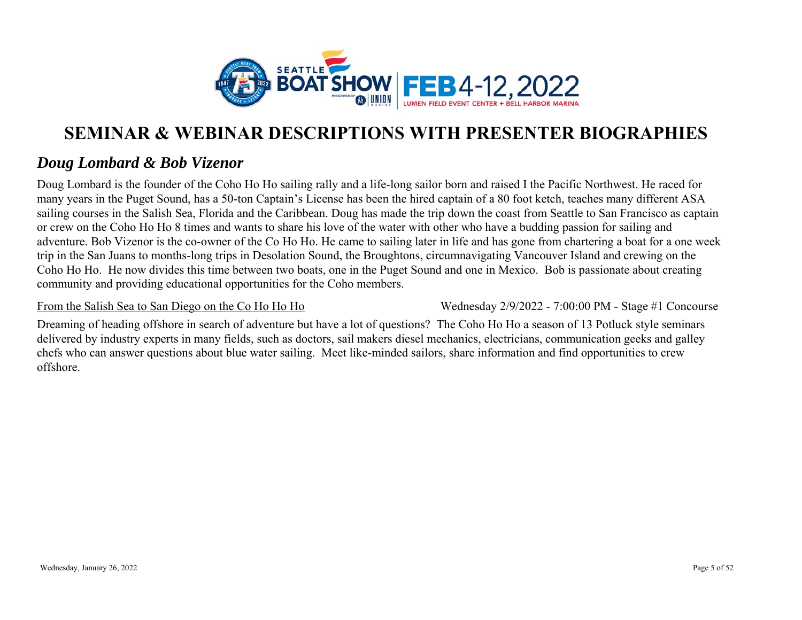

### *Doug Lombard & Bob Vizenor*

Doug Lombard is the founder of the Coho Ho Ho sailing rally and a life-long sailor born and raised I the Pacific Northwest. He raced for many years in the Puget Sound, has a 50-ton Captain's License has been the hired captain of a 80 foot ketch, teaches many different ASA sailing courses in the Salish Sea, Florida and the Caribbean. Doug has made the trip down the coast from Seattle to San Francisco as captain or crew on the Coho Ho Ho 8 times and wants to share his love of the water with other who have a budding passion for sailing and adventure. Bob Vizenor is the co-owner of the Co Ho Ho. He came to sailing later in life and has gone from chartering a boat for a one week trip in the San Juans to months-long trips in Desolation Sound, the Broughtons, circumnavigating Vancouver Island and crewing on the Coho Ho Ho. He now divides this time between two boats, one in the Puget Sound and one in Mexico. Bob is passionate about creating community and providing educational opportunities for the Coho members.

#### From the Salish Sea to San Diego on the Co Ho Ho Ho

Wednesday 2/9/2022 - 7:00:00 PM - Stage #1 Concourse

Dreaming of heading offshore in search of adventure but have a lot of questions? The Coho Ho Ho a season of 13 Potluck style seminars delivered by industry experts in many fields, such as doctors, sail makers diesel mechanics, electricians, communication geeks and galley chefs who can answer questions about blue water sailing. Meet like-minded sailors, share information and find opportunities to crew offshore.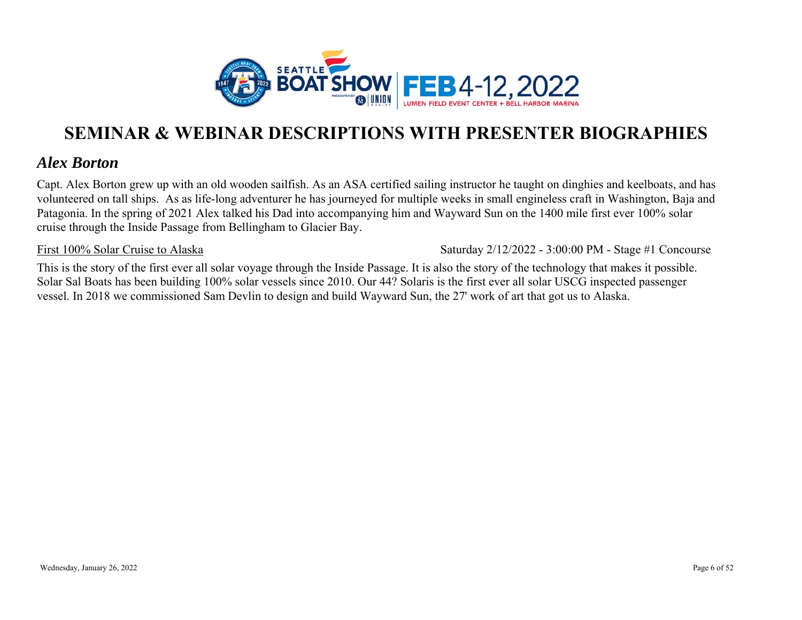

### *Alex Borton*

Capt. Alex Borton grew up with an old wooden sailfish. As an ASA certified sailing instructor he taught on dinghies and keelboats, and has volunteered on tall ships. As as life-long adventurer he has journeyed for multiple weeks in small engineless craft in Washington, Baja and Patagonia. In the spring of 2021 Alex talked his Dad into accompanying him and Wayward Sun on the 1400 mile first ever 100% solar cruise through the Inside Passage from Bellingham to Glacier Bay.

#### First 100% Solar Cruise to Alaska

Saturday 2/12/2022 - 3:00:00 PM - Stage #1 Concourse

This is the story of the first ever all solar voyage through the Inside Passage. It is also the story of the technology that makes it possible. Solar Sal Boats has been building 100% solar vessels since 2010. Our 44? Solaris is the first ever all solar USCG inspected passenger vessel. In 2018 we commissioned Sam Devlin to design and build Wayward Sun, the 27' work of art that got us to Alaska.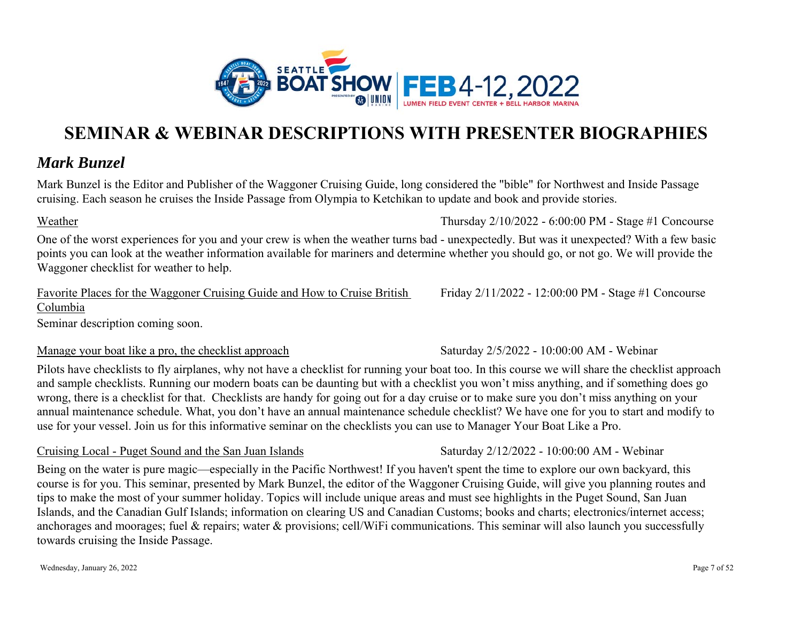

### *Mark Bunzel*

Mark Bunzel is the Editor and Publisher of the Waggoner Cruising Guide, long considered the "bible" for Northwest and Inside Passage cruising. Each season he cruises the Inside Passage from Olympia to Ketchikan to update and book and provide stories.

#### Weather

One of the worst experiences for you and your crew is when the weather turns bad - unexpectedly. But was it unexpected? With a few basic points you can look at the weather information available for mariners and determine whether you should go, or not go. We will provide the Waggoner checklist for weather to help.

Favorite Places for the Waggoner Cruising Guide and How to Cruise British Columbia

Seminar description coming soon.

#### Manage your boat like a pro, the checklist approach

Pilots have checklists to fly airplanes, why not have a checklist for running your boat too. In this course we will share the checklist approach and sample checklists. Running our modern boats can be daunting but with a checklist you won't miss anything, and if something does go wrong, there is a checklist for that. Checklists are handy for going out for a day cruise or to make sure you don't miss anything on your annual maintenance schedule. What, you don't have an annual maintenance schedule checklist? We have one for you to start and modify to use for your vessel. Join us for this informative seminar on the checklists you can use to Manager Your Boat Like a Pro.

#### Cruising Local - Puget Sound and the San Juan Islands

Being on the water is pure magic—especially in the Pacific Northwest! If you haven't spent the time to explore our own backyard, this course is for you. This seminar, presented by Mark Bunzel, the editor of the Waggoner Cruising Guide, will give you planning routes and tips to make the most of your summer holiday. Topics will include unique areas and must see highlights in the Puget Sound, San Juan Islands, and the Canadian Gulf Islands; information on clearing US and Canadian Customs; books and charts; electronics/internet access; anchorages and moorages; fuel & repairs; water & provisions; cell/WiFi communications. This seminar will also launch you successfully towards cruising the Inside Passage.

Friday 2/11/2022 - 12:00:00 PM - Stage #1 Concourse

Saturday 2/5/2022 - 10:00:00 AM - Webinar

Saturday 2/12/2022 - 10:00:00 AM - Webinar

Thursday 2/10/2022 - 6:00:00 PM - Stage #1 Concourse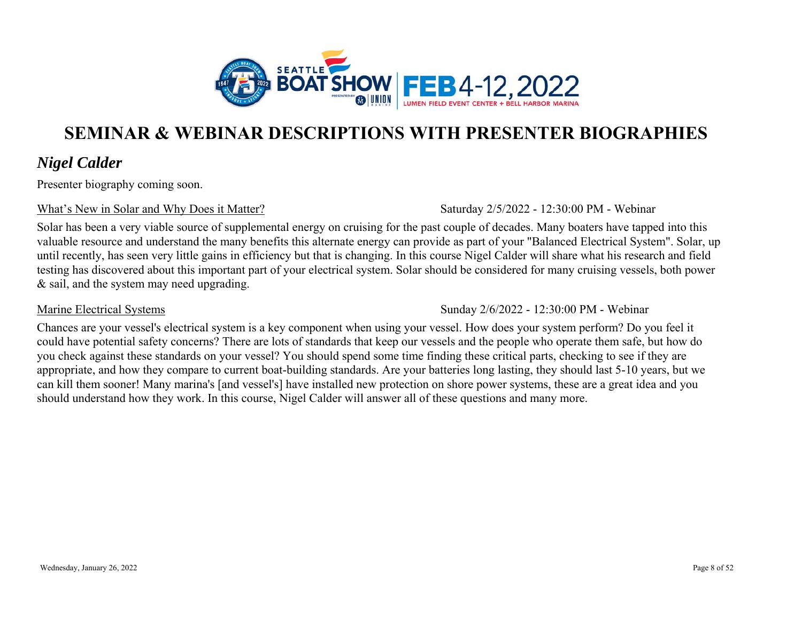

### *Nigel Calder*

Presenter biography coming soon.

#### What's New in Solar and Why Does it Matter?

Saturday 2/5/2022 - 12:30:00 PM - Webinar

Solar has been a very viable source of supplemental energy on cruising for the past couple of decades. Many boaters have tapped into this valuable resource and understand the many benefits this alternate energy can provide as part of your "Balanced Electrical System". Solar, up until recently, has seen very little gains in efficiency but that is changing. In this course Nigel Calder will share what his research and field testing has discovered about this important part of your electrical system. Solar should be considered for many cruising vessels, both power & sail, and the system may need upgrading.

#### Marine Electrical Systems

Sunday 2/6/2022 - 12:30:00 PM - Webinar

Chances are your vessel's electrical system is a key component when using your vessel. How does your system perform? Do you feel it could have potential safety concerns? There are lots of standards that keep our vessels and the people who operate them safe, but how do you check against these standards on your vessel? You should spend some time finding these critical parts, checking to see if they are appropriate, and how they compare to current boat-building standards. Are your batteries long lasting, they should last 5-10 years, but we can kill them sooner! Many marina's [and vessel's] have installed new protection on shore power systems, these are a great idea and you should understand how they work. In this course, Nigel Calder will answer all of these questions and many more.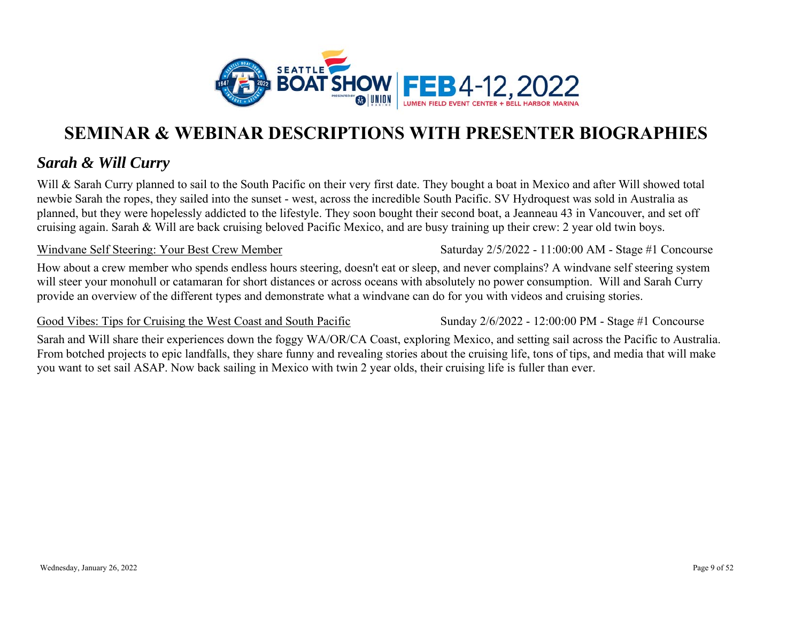

### *Sarah & Will Curry*

Will & Sarah Curry planned to sail to the South Pacific on their very first date. They bought a boat in Mexico and after Will showed total newbie Sarah the ropes, they sailed into the sunset - west, across the incredible South Pacific. SV Hydroquest was sold in Australia as planned, but they were hopelessly addicted to the lifestyle. They soon bought their second boat, a Jeanneau 43 in Vancouver, and set off cruising again. Sarah & Will are back cruising beloved Pacific Mexico, and are busy training up their crew: 2 year old twin boys.

#### Windvane Self Steering: Your Best Crew Member

How about a crew member who spends endless hours steering, doesn't eat or sleep, and never complains? A windvane self steering system will steer your monohull or catamaran for short distances or across oceans with absolutely no power consumption. Will and Sarah Curry provide an overview of the different types and demonstrate what a windvane can do for you with videos and cruising stories.

#### Good Vibes: Tips for Cruising the West Coast and South Pacific

Sunday 2/6/2022 - 12:00:00 PM - Stage #1 Concourse

Saturday 2/5/2022 - 11:00:00 AM - Stage #1 Concourse

Sarah and Will share their experiences down the foggy WA/OR/CA Coast, exploring Mexico, and setting sail across the Pacific to Australia. From botched projects to epic landfalls, they share funny and revealing stories about the cruising life, tons of tips, and media that will make you want to set sail ASAP. Now back sailing in Mexico with twin 2 year olds, their cruising life is fuller than ever.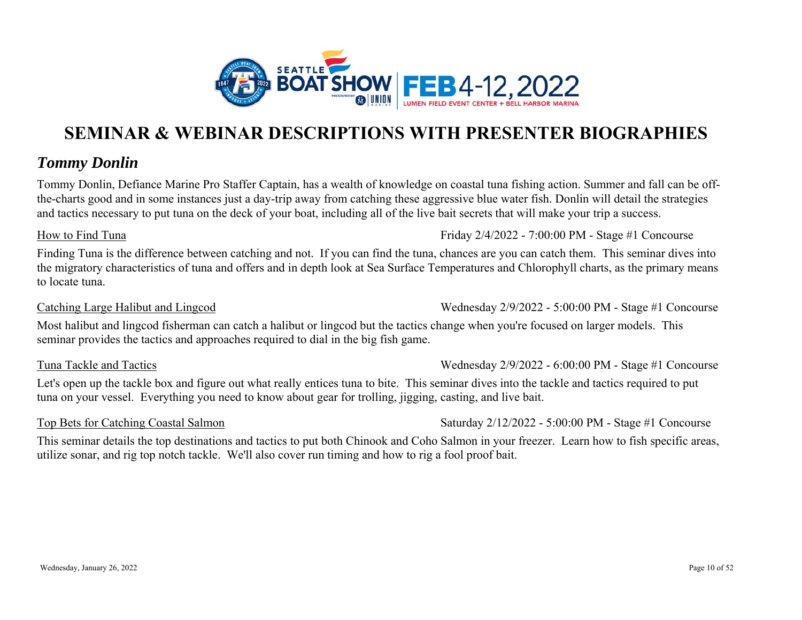

### *Tommy Donlin*

Tommy Donlin, Defiance Marine Pro Staffer Captain, has a wealth of knowledge on coastal tuna fishing action. Summer and fall can be offthe-charts good and in some instances just a day-trip away from catching these aggressive blue water fish. Donlin will detail the strategies and tactics necessary to put tuna on the deck of your boat, including all of the live bait secrets that will make your trip a success.

#### How to Find Tuna

Finding Tuna is the difference between catching and not. If you can find the tuna, chances are you can catch them. This seminar dives into the migratory characteristics of tuna and offers and in depth look at Sea Surface Temperatures and Chlorophyll charts, as the primary means to locate tuna.

#### Catching Large Halibut and Lingcod

Most halibut and lingcod fisherman can catch a halibut or lingcod but the tactics change when you're focused on larger models. This seminar provides the tactics and approaches required to dial in the big fish game.

#### Tuna Tackle and Tactics

Let's open up the tackle box and figure out what really entices tuna to bite. This seminar dives into the tackle and tactics required to put tuna on your vessel. Everything you need to know about gear for trolling, jigging, casting, and live bait.

### Top Bets for Catching Coastal Salmon

Saturday 2/12/2022 - 5:00:00 PM - Stage #1 Concourse

This seminar details the top destinations and tactics to put both Chinook and Coho Salmon in your freezer. Learn how to fish specific areas, utilize sonar, and rig top notch tackle. We'll also cover run timing and how to rig a fool proof bait.

### Friday 2/4/2022 - 7:00:00 PM - Stage #1 Concourse

# Wednesday 2/9/2022 - 6:00:00 PM - Stage #1 Concourse

Wednesday 2/9/2022 - 5:00:00 PM - Stage #1 Concourse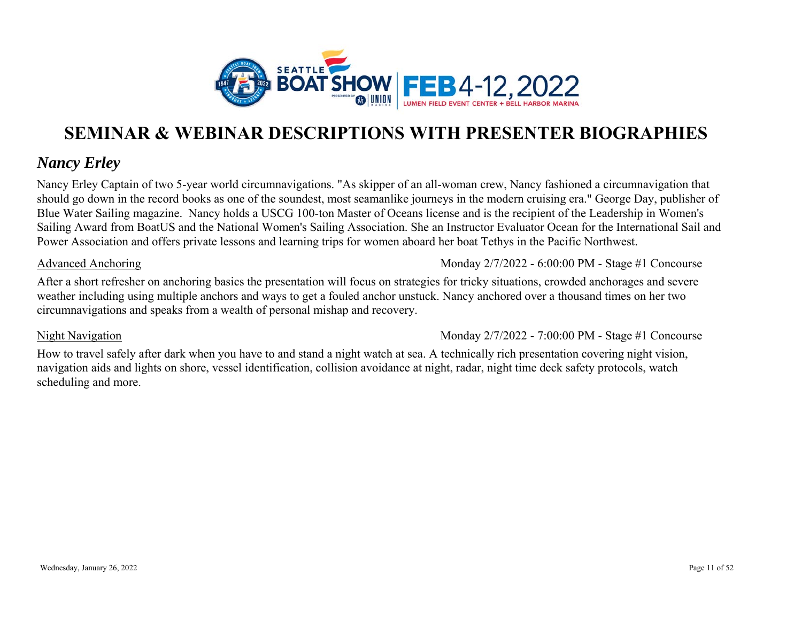

### *Nancy Erley*

Nancy Erley Captain of two 5-year world circumnavigations. "As skipper of an all-woman crew, Nancy fashioned a circumnavigation that should go down in the record books as one of the soundest, most seamanlike journeys in the modern cruising era." George Day, publisher of Blue Water Sailing magazine. Nancy holds a USCG 100-ton Master of Oceans license and is the recipient of the Leadership in Women's Sailing Award from BoatUS and the National Women's Sailing Association. She an Instructor Evaluator Ocean for the International Sail and Power Association and offers private lessons and learning trips for women aboard her boat Tethys in the Pacific Northwest.

#### Advanced Anchoring

Monday 2/7/2022 - 6:00:00 PM - Stage #1 Concourse

After a short refresher on anchoring basics the presentation will focus on strategies for tricky situations, crowded anchorages and severe weather including using multiple anchors and ways to get a fouled anchor unstuck. Nancy anchored over a thousand times on her two circumnavigations and speaks from a wealth of personal mishap and recovery.

#### Night Navigation

Monday 2/7/2022 - 7:00:00 PM - Stage #1 Concourse

How to travel safely after dark when you have to and stand a night watch at sea. A technically rich presentation covering night vision, navigation aids and lights on shore, vessel identification, collision avoidance at night, radar, night time deck safety protocols, watch scheduling and more.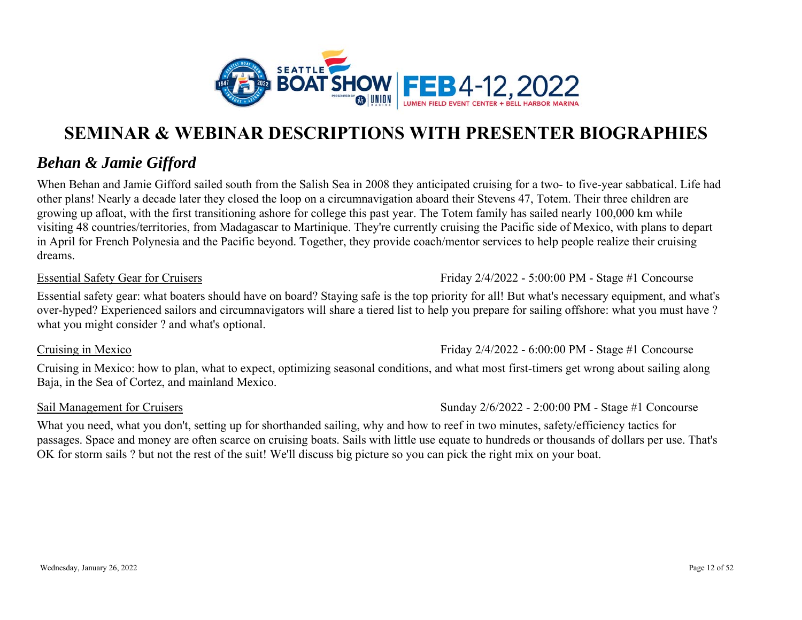

### *Behan & Jamie Gifford*

When Behan and Jamie Gifford sailed south from the Salish Sea in 2008 they anticipated cruising for a two- to five-year sabbatical. Life had other plans! Nearly a decade later they closed the loop on a circumnavigation aboard their Stevens 47, Totem. Their three children are growing up afloat, with the first transitioning ashore for college this past year. The Totem family has sailed nearly 100,000 km while visiting 48 countries/territories, from Madagascar to Martinique. They're currently cruising the Pacific side of Mexico, with plans to depart in April for French Polynesia and the Pacific beyond. Together, they provide coach/mentor services to help people realize their cruising dreams.

#### Essential Safety Gear for Cruisers

Friday 2/4/2022 - 5:00:00 PM - Stage #1 Concourse

Essential safety gear: what boaters should have on board? Staying safe is the top priority for all! But what's necessary equipment, and what's over-hyped? Experienced sailors and circumnavigators will share a tiered list to help you prepare for sailing offshore: what you must have ? what you might consider ? and what's optional.

Cruising in Mexico

Cruising in Mexico: how to plan, what to expect, optimizing seasonal conditions, and what most first-timers get wrong about sailing along Baja, in the Sea of Cortez, and mainland Mexico.

#### Sail Management for Cruisers

Sunday 2/6/2022 - 2:00:00 PM - Stage #1 Concourse

Friday 2/4/2022 - 6:00:00 PM - Stage #1 Concourse

What you need, what you don't, setting up for shorthanded sailing, why and how to reef in two minutes, safety/efficiency tactics for passages. Space and money are often scarce on cruising boats. Sails with little use equate to hundreds or thousands of dollars per use. That's OK for storm sails ? but not the rest of the suit! We'll discuss big picture so you can pick the right mix on your boat.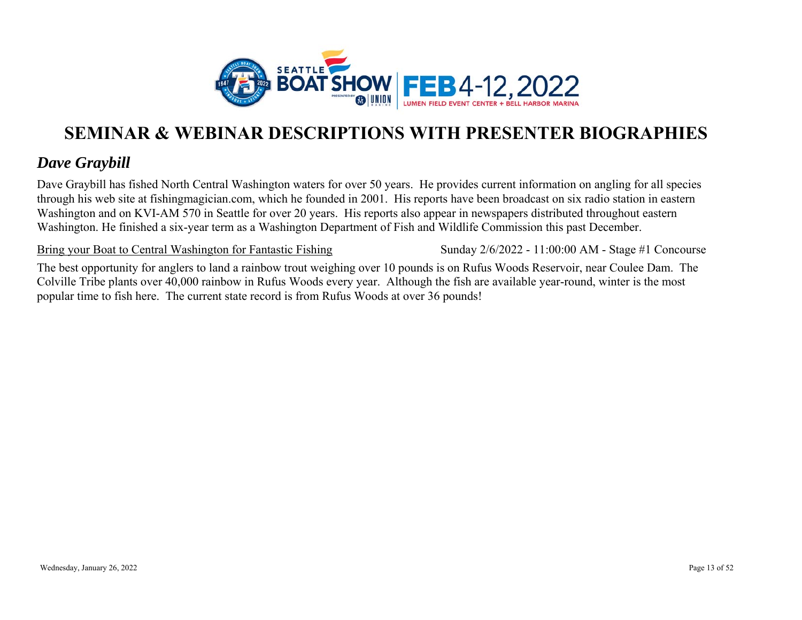

### *Dave Graybill*

Dave Graybill has fished North Central Washington waters for over 50 years. He provides current information on angling for all species through his web site at fishingmagician.com, which he founded in 2001. His reports have been broadcast on six radio station in eastern Washington and on KVI-AM 570 in Seattle for over 20 years. His reports also appear in newspapers distributed throughout eastern Washington. He finished a six-year term as a Washington Department of Fish and Wildlife Commission this past December.

Bring your Boat to Central Washington for Fantastic Fishing

Sunday 2/6/2022 - 11:00:00 AM - Stage #1 Concourse

The best opportunity for anglers to land a rainbow trout weighing over 10 pounds is on Rufus Woods Reservoir, near Coulee Dam. The Colville Tribe plants over 40,000 rainbow in Rufus Woods every year. Although the fish are available year-round, winter is the most popular time to fish here. The current state record is from Rufus Woods at over 36 pounds!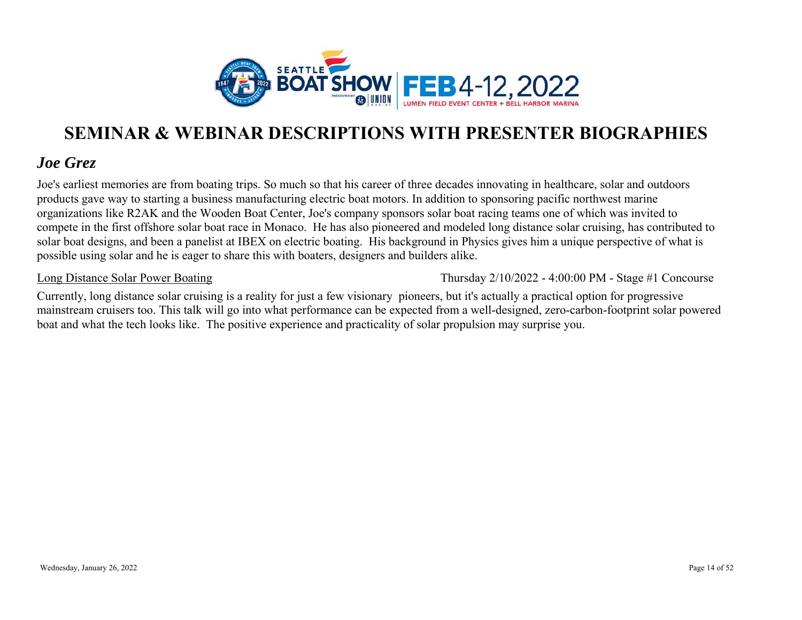

### *Joe Grez*

Joe's earliest memories are from boating trips. So much so that his career of three decades innovating in healthcare, solar and outdoors products gave way to starting a business manufacturing electric boat motors. In addition to sponsoring pacific northwest marine organizations like R2AK and the Wooden Boat Center, Joe's company sponsors solar boat racing teams one of which was invited to compete in the first offshore solar boat race in Monaco. He has also pioneered and modeled long distance solar cruising, has contributed to solar boat designs, and been a panelist at IBEX on electric boating. His background in Physics gives him a unique perspective of what is possible using solar and he is eager to share this with boaters, designers and builders alike.

Long Distance Solar Power Boating

Thursday 2/10/2022 - 4:00:00 PM - Stage #1 Concourse

Currently, long distance solar cruising is a reality for just a few visionary pioneers, but it's actually a practical option for progressive mainstream cruisers too. This talk will go into what performance can be expected from a well-designed, zero-carbon-footprint solar powered boat and what the tech looks like. The positive experience and practicality of solar propulsion may surprise you.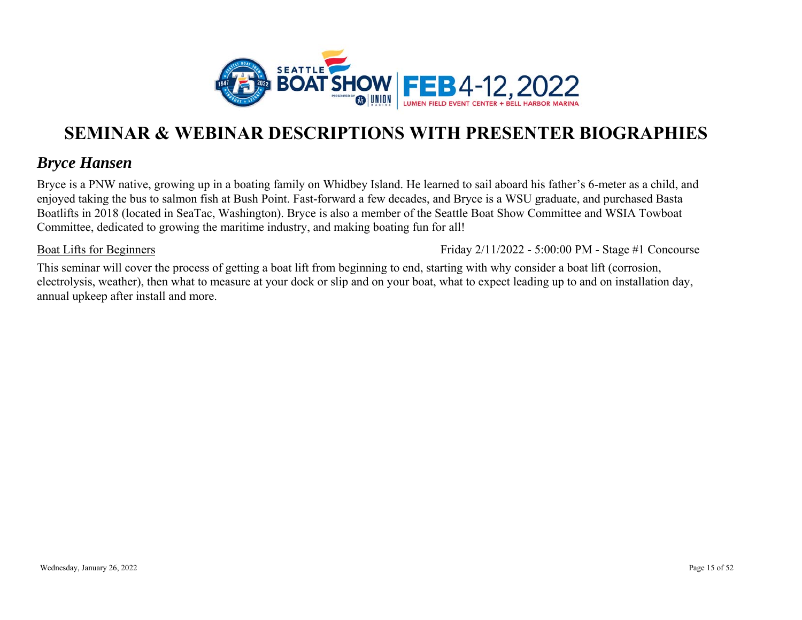

### *Bryce Hansen*

Bryce is a PNW native, growing up in a boating family on Whidbey Island. He learned to sail aboard his father's 6-meter as a child, and enjoyed taking the bus to salmon fish at Bush Point. Fast-forward a few decades, and Bryce is a WSU graduate, and purchased Basta Boatlifts in 2018 (located in SeaTac, Washington). Bryce is also a member of the Seattle Boat Show Committee and WSIA Towboat Committee, dedicated to growing the maritime industry, and making boating fun for all!

Boat Lifts for Beginners

Friday 2/11/2022 - 5:00:00 PM - Stage #1 Concourse

This seminar will cover the process of getting a boat lift from beginning to end, starting with why consider a boat lift (corrosion, electrolysis, weather), then what to measure at your dock or slip and on your boat, what to expect leading up to and on installation day, annual upkeep after install and more.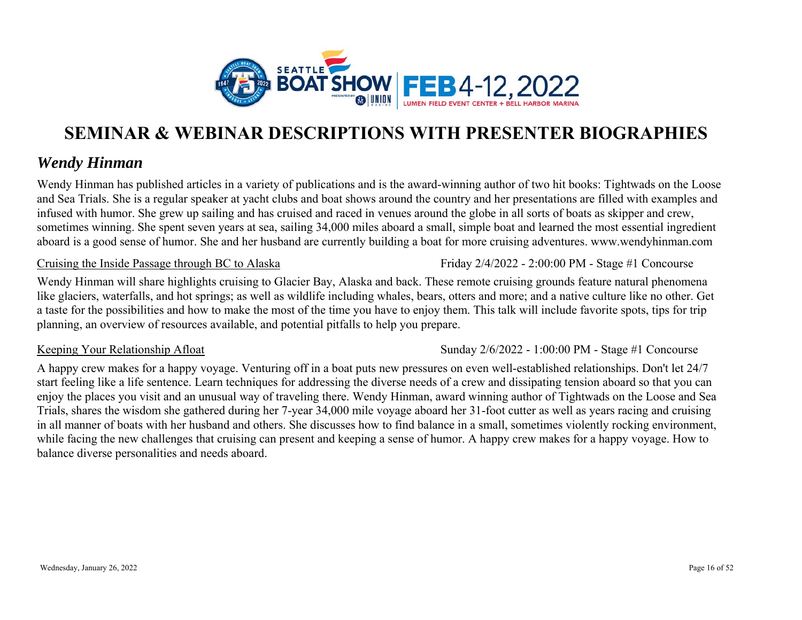

### *Wendy Hinman*

Wendy Hinman has published articles in a variety of publications and is the award-winning author of two hit books: Tightwads on the Loose and Sea Trials. She is a regular speaker at yacht clubs and boat shows around the country and her presentations are filled with examples and infused with humor. She grew up sailing and has cruised and raced in venues around the globe in all sorts of boats as skipper and crew, sometimes winning. She spent seven years at sea, sailing 34,000 miles aboard a small, simple boat and learned the most essential ingredient aboard is a good sense of humor. She and her husband are currently building a boat for more cruising adventures. www.wendyhinman.com

#### Cruising the Inside Passage through BC to Alaska

Friday 2/4/2022 - 2:00:00 PM - Stage #1 Concourse

Wendy Hinman will share highlights cruising to Glacier Bay, Alaska and back. These remote cruising grounds feature natural phenomena like glaciers, waterfalls, and hot springs; as well as wildlife including whales, bears, otters and more; and a native culture like no other. Get a taste for the possibilities and how to make the most of the time you have to enjoy them. This talk will include favorite spots, tips for trip planning, an overview of resources available, and potential pitfalls to help you prepare.

#### Keeping Your Relationship Afloat

Sunday 2/6/2022 - 1:00:00 PM - Stage #1 Concourse

A happy crew makes for a happy voyage. Venturing off in a boat puts new pressures on even well-established relationships. Don't let 24/7 start feeling like a life sentence. Learn techniques for addressing the diverse needs of a crew and dissipating tension aboard so that you can enjoy the places you visit and an unusual way of traveling there. Wendy Hinman, award winning author of Tightwads on the Loose and Sea Trials, shares the wisdom she gathered during her 7-year 34,000 mile voyage aboard her 31-foot cutter as well as years racing and cruising in all manner of boats with her husband and others. She discusses how to find balance in a small, sometimes violently rocking environment, while facing the new challenges that cruising can present and keeping a sense of humor. A happy crew makes for a happy voyage. How to balance diverse personalities and needs aboard.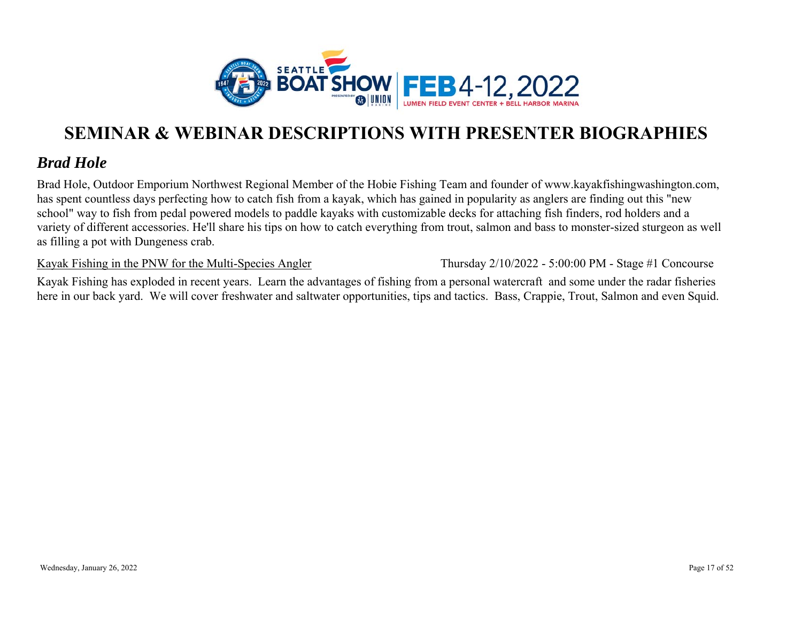

### *Brad Hole*

Brad Hole, Outdoor Emporium Northwest Regional Member of the Hobie Fishing Team and founder of www.kayakfishingwashington.com, has spent countless days perfecting how to catch fish from a kayak, which has gained in popularity as anglers are finding out this "new school" way to fish from pedal powered models to paddle kayaks with customizable decks for attaching fish finders, rod holders and a variety of different accessories. He'll share his tips on how to catch everything from trout, salmon and bass to monster-sized sturgeon as well as filling a pot with Dungeness crab.

Kayak Fishing in the PNW for the Multi-Species Angler

Thursday 2/10/2022 - 5:00:00 PM - Stage #1 Concourse

Kayak Fishing has exploded in recent years. Learn the advantages of fishing from a personal watercraft and some under the radar fisheries here in our back yard. We will cover freshwater and saltwater opportunities, tips and tactics. Bass, Crappie, Trout, Salmon and even Squid.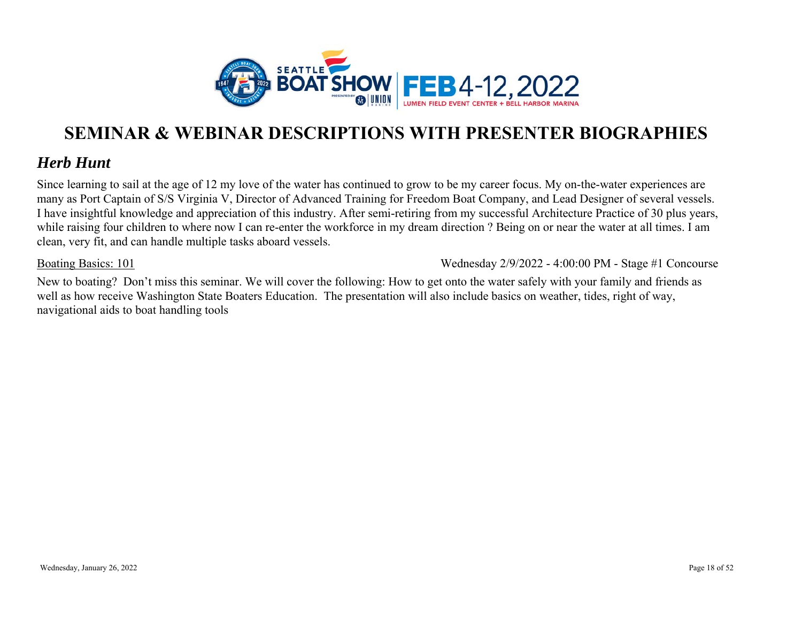

### *Herb Hunt*

Since learning to sail at the age of 12 my love of the water has continued to grow to be my career focus. My on-the-water experiences are many as Port Captain of S/S Virginia V, Director of Advanced Training for Freedom Boat Company, and Lead Designer of several vessels. I have insightful knowledge and appreciation of this industry. After semi-retiring from my successful Architecture Practice of 30 plus years, while raising four children to where now I can re-enter the workforce in my dream direction ? Being on or near the water at all times. I am clean, very fit, and can handle multiple tasks aboard vessels.

#### Boating Basics: 101

Wednesday 2/9/2022 - 4:00:00 PM - Stage #1 Concourse

New to boating? Don't miss this seminar. We will cover the following: How to get onto the water safely with your family and friends as well as how receive Washington State Boaters Education. The presentation will also include basics on weather, tides, right of way, navigational aids to boat handling tools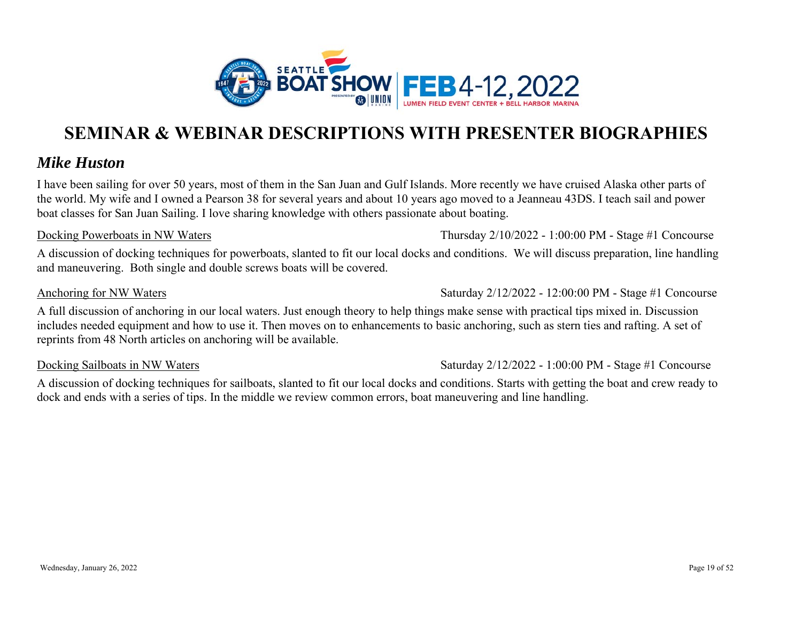

### *Mike Huston*

I have been sailing for over 50 years, most of them in the San Juan and Gulf Islands. More recently we have cruised Alaska other parts of the world. My wife and I owned a Pearson 38 for several years and about 10 years ago moved to a Jeanneau 43DS. I teach sail and power boat classes for San Juan Sailing. I love sharing knowledge with others passionate about boating.

#### Docking Powerboats in NW Waters

A discussion of docking techniques for powerboats, slanted to fit our local docks and conditions. We will discuss preparation, line handling and maneuvering. Both single and double screws boats will be covered.

#### Anchoring for NW Waters

Saturday 2/12/2022 - 12:00:00 PM - Stage #1 Concourse

Thursday 2/10/2022 - 1:00:00 PM - Stage #1 Concourse

A full discussion of anchoring in our local waters. Just enough theory to help things make sense with practical tips mixed in. Discussion includes needed equipment and how to use it. Then moves on to enhancements to basic anchoring, such as stern ties and rafting. A set of reprints from 48 North articles on anchoring will be available.

#### Docking Sailboats in NW Waters

Saturday 2/12/2022 - 1:00:00 PM - Stage #1 Concourse

A discussion of docking techniques for sailboats, slanted to fit our local docks and conditions. Starts with getting the boat and crew ready to dock and ends with a series of tips. In the middle we review common errors, boat maneuvering and line handling.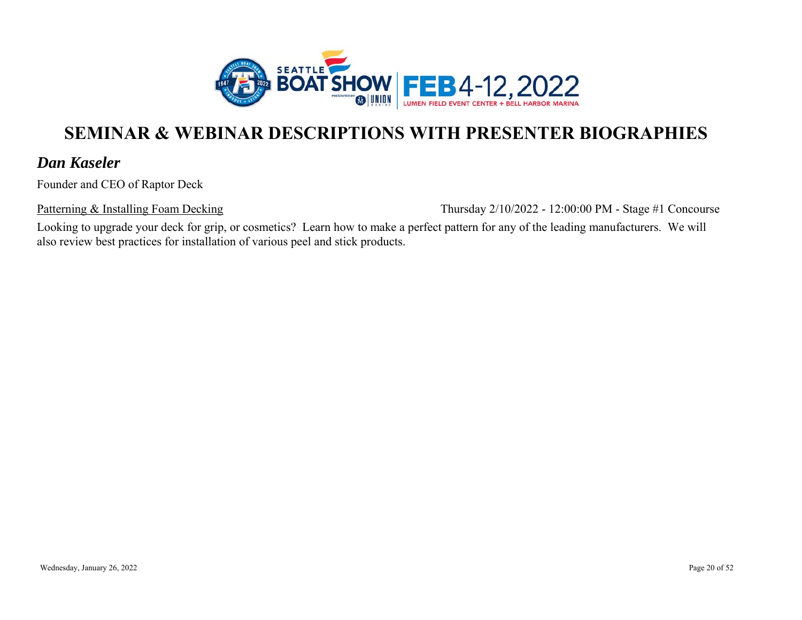

### *Dan Kaseler*

Founder and CEO of Raptor Deck

Patterning & Installing Foam Decking

Thursday 2/10/2022 - 12:00:00 PM - Stage #1 Concourse

Looking to upgrade your deck for grip, or cosmetics? Learn how to make a perfect pattern for any of the leading manufacturers. We will also review best practices for installation of various peel and stick products.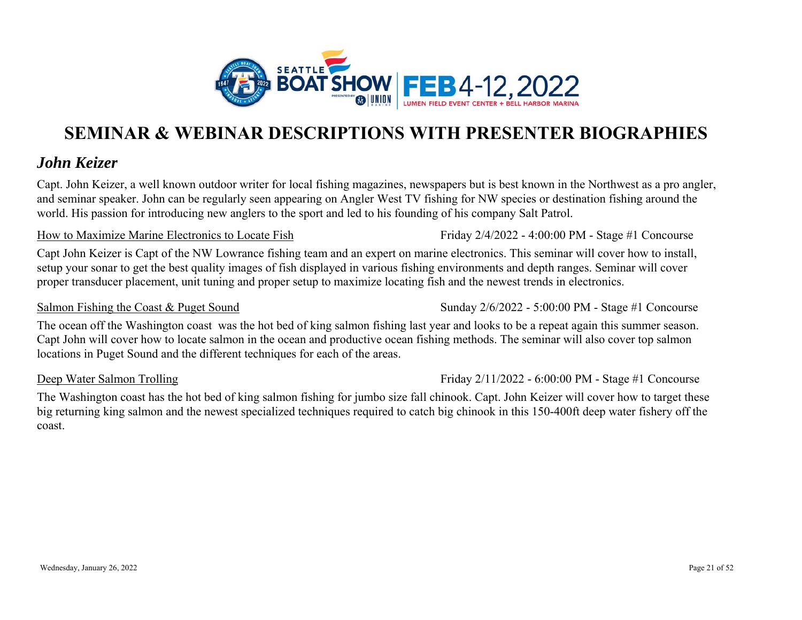

### *John Keizer*

Capt. John Keizer, a well known outdoor writer for local fishing magazines, newspapers but is best known in the Northwest as a pro angler, and seminar speaker. John can be regularly seen appearing on Angler West TV fishing for NW species or destination fishing around the world. His passion for introducing new anglers to the sport and led to his founding of his company Salt Patrol.

#### How to Maximize Marine Electronics to Locate Fish

Capt John Keizer is Capt of the NW Lowrance fishing team and an expert on marine electronics. This seminar will cover how to install, setup your sonar to get the best quality images of fish displayed in various fishing environments and depth ranges. Seminar will cover proper transducer placement, unit tuning and proper setup to maximize locating fish and the newest trends in electronics.

#### Salmon Fishing the Coast & Puget Sound

The ocean off the Washington coast was the hot bed of king salmon fishing last year and looks to be a repeat again this summer season. Capt John will cover how to locate salmon in the ocean and productive ocean fishing methods. The seminar will also cover top salmon locations in Puget Sound and the different techniques for each of the areas.

#### Deep Water Salmon Trolling

Friday 2/11/2022 - 6:00:00 PM - Stage #1 Concourse

Sunday 2/6/2022 - 5:00:00 PM - Stage #1 Concourse

The Washington coast has the hot bed of king salmon fishing for jumbo size fall chinook. Capt. John Keizer will cover how to target these big returning king salmon and the newest specialized techniques required to catch big chinook in this 150-400ft deep water fishery off the coast.

Friday 2/4/2022 - 4:00:00 PM - Stage #1 Concourse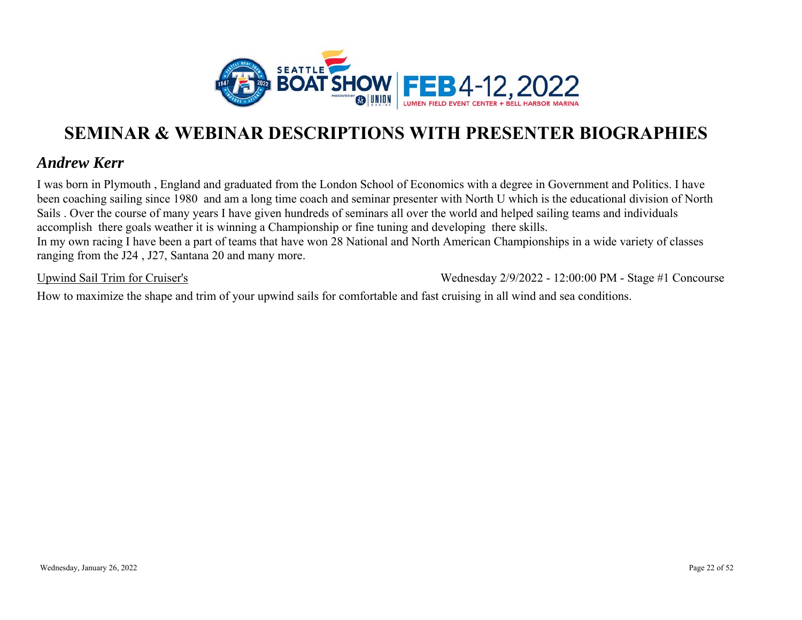

### *Andrew Kerr*

I was born in Plymouth , England and graduated from the London School of Economics with a degree in Government and Politics. I have been coaching sailing since 1980 and am a long time coach and seminar presenter with North U which is the educational division of North Sails . Over the course of many years I have given hundreds of seminars all over the world and helped sailing teams and individuals accomplish there goals weather it is winning a Championship or fine tuning and developing there skills. In my own racing I have been a part of teams that have won 28 National and North American Championships in a wide variety of classes ranging from the J24 , J27, Santana 20 and many more.

Upwind Sail Trim for Cruiser's

Wednesday 2/9/2022 - 12:00:00 PM - Stage #1 Concourse

How to maximize the shape and trim of your upwind sails for comfortable and fast cruising in all wind and sea conditions.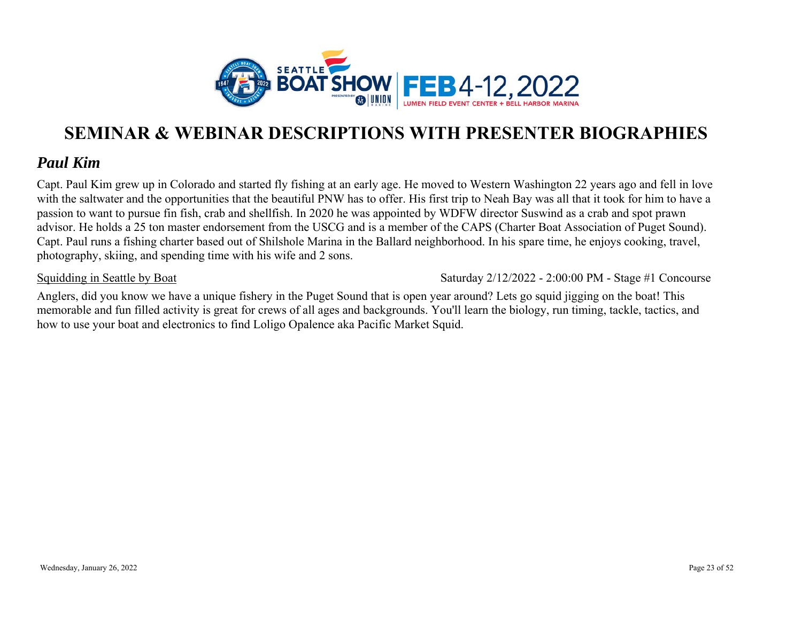

### *Paul Kim*

Capt. Paul Kim grew up in Colorado and started fly fishing at an early age. He moved to Western Washington 22 years ago and fell in love with the saltwater and the opportunities that the beautiful PNW has to offer. His first trip to Neah Bay was all that it took for him to have a passion to want to pursue fin fish, crab and shellfish. In 2020 he was appointed by WDFW director Suswind as a crab and spot prawn advisor. He holds a 25 ton master endorsement from the USCG and is a member of the CAPS (Charter Boat Association of Puget Sound). Capt. Paul runs a fishing charter based out of Shilshole Marina in the Ballard neighborhood. In his spare time, he enjoys cooking, travel, photography, skiing, and spending time with his wife and 2 sons.

#### Squidding in Seattle by Boat

Saturday 2/12/2022 - 2:00:00 PM - Stage #1 Concourse

Anglers, did you know we have a unique fishery in the Puget Sound that is open year around? Lets go squid jigging on the boat! This memorable and fun filled activity is great for crews of all ages and backgrounds. You'll learn the biology, run timing, tackle, tactics, and how to use your boat and electronics to find Loligo Opalence aka Pacific Market Squid.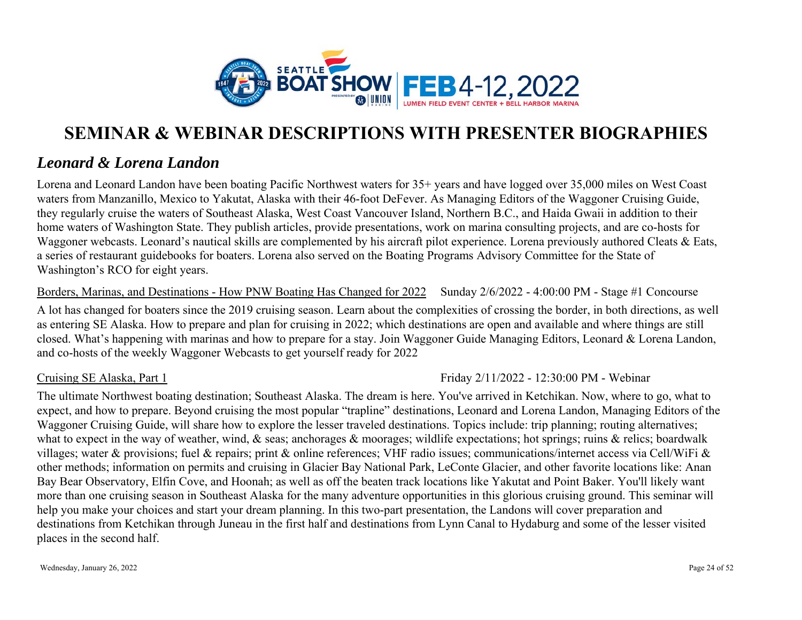

### *Leonard & Lorena Landon*

Lorena and Leonard Landon have been boating Pacific Northwest waters for 35+ years and have logged over 35,000 miles on West Coast waters from Manzanillo, Mexico to Yakutat, Alaska with their 46-foot DeFever. As Managing Editors of the Waggoner Cruising Guide, they regularly cruise the waters of Southeast Alaska, West Coast Vancouver Island, Northern B.C., and Haida Gwaii in addition to their home waters of Washington State. They publish articles, provide presentations, work on marina consulting projects, and are co-hosts for Waggoner webcasts. Leonard's nautical skills are complemented by his aircraft pilot experience. Lorena previously authored Cleats & Eats, a series of restaurant guidebooks for boaters. Lorena also served on the Boating Programs Advisory Committee for the State of Washington's RCO for eight years.

#### Borders, Marinas, and Destinations - How PNW Boating Has Changed for 2022 Sunday 2/6/2022 - 4:00:00 PM - Stage #1 Concourse

A lot has changed for boaters since the 2019 cruising season. Learn about the complexities of crossing the border, in both directions, as well as entering SE Alaska. How to prepare and plan for cruising in 2022; which destinations are open and available and where things are still closed. What's happening with marinas and how to prepare for a stay. Join Waggoner Guide Managing Editors, Leonard & Lorena Landon, and co-hosts of the weekly Waggoner Webcasts to get yourself ready for 2022

#### Cruising SE Alaska, Part 1

#### Friday 2/11/2022 - 12:30:00 PM - Webinar

The ultimate Northwest boating destination; Southeast Alaska. The dream is here. You've arrived in Ketchikan. Now, where to go, what to expect, and how to prepare. Beyond cruising the most popular "trapline" destinations, Leonard and Lorena Landon, Managing Editors of the Waggoner Cruising Guide, will share how to explore the lesser traveled destinations. Topics include: trip planning; routing alternatives; what to expect in the way of weather, wind, & seas; anchorages & moorages; wildlife expectations; hot springs; ruins & relics; boardwalk villages; water & provisions; fuel & repairs; print & online references; VHF radio issues; communications/internet access via Cell/WiFi & other methods; information on permits and cruising in Glacier Bay National Park, LeConte Glacier, and other favorite locations like: Anan Bay Bear Observatory, Elfin Cove, and Hoonah; as well as off the beaten track locations like Yakutat and Point Baker. You'll likely want more than one cruising season in Southeast Alaska for the many adventure opportunities in this glorious cruising ground. This seminar will help you make your choices and start your dream planning. In this two-part presentation, the Landons will cover preparation and destinations from Ketchikan through Juneau in the first half and destinations from Lynn Canal to Hydaburg and some of the lesser visited places in the second half.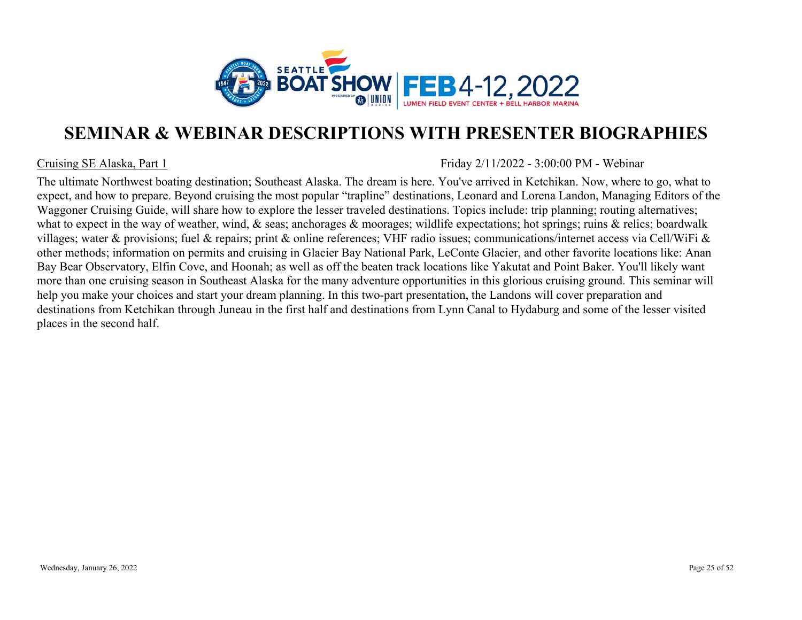

#### Cruising SE Alaska, Part 1

Friday 2/11/2022 - 3:00:00 PM - Webinar

The ultimate Northwest boating destination; Southeast Alaska. The dream is here. You've arrived in Ketchikan. Now, where to go, what to expect, and how to prepare. Beyond cruising the most popular "trapline" destinations, Leonard and Lorena Landon, Managing Editors of the Waggoner Cruising Guide, will share how to explore the lesser traveled destinations. Topics include: trip planning; routing alternatives; what to expect in the way of weather, wind, & seas; anchorages & moorages; wildlife expectations; hot springs; ruins & relics; boardwalk villages; water & provisions; fuel & repairs; print & online references; VHF radio issues; communications/internet access via Cell/WiFi & other methods; information on permits and cruising in Glacier Bay National Park, LeConte Glacier, and other favorite locations like: Anan Bay Bear Observatory, Elfin Cove, and Hoonah; as well as off the beaten track locations like Yakutat and Point Baker. You'll likely want more than one cruising season in Southeast Alaska for the many adventure opportunities in this glorious cruising ground. This seminar will help you make your choices and start your dream planning. In this two-part presentation, the Landons will cover preparation and destinations from Ketchikan through Juneau in the first half and destinations from Lynn Canal to Hydaburg and some of the lesser visited places in the second half.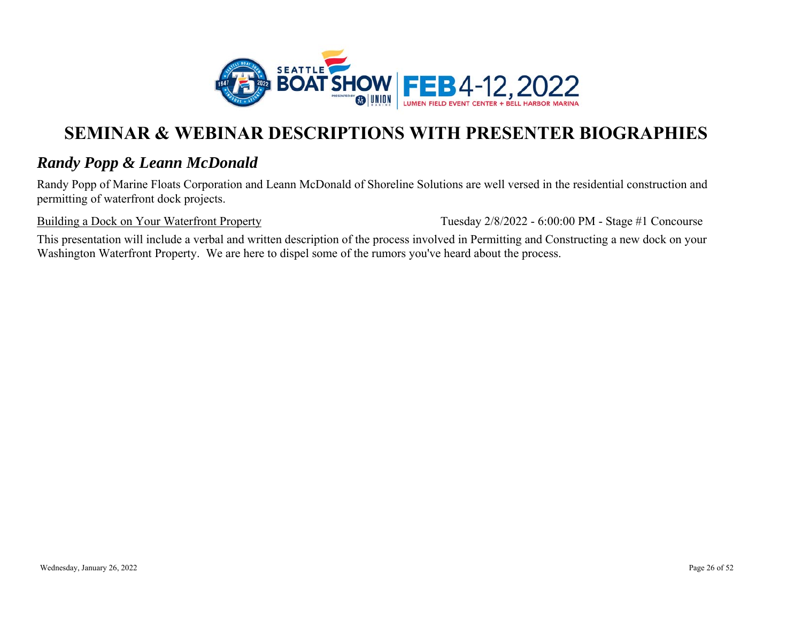

### *Randy Popp & Leann McDonald*

Randy Popp of Marine Floats Corporation and Leann McDonald of Shoreline Solutions are well versed in the residential construction and permitting of waterfront dock projects.

Building a Dock on Your Waterfront Property

Tuesday 2/8/2022 - 6:00:00 PM - Stage #1 Concourse

This presentation will include a verbal and written description of the process involved in Permitting and Constructing a new dock on your Washington Waterfront Property. We are here to dispel some of the rumors you've heard about the process.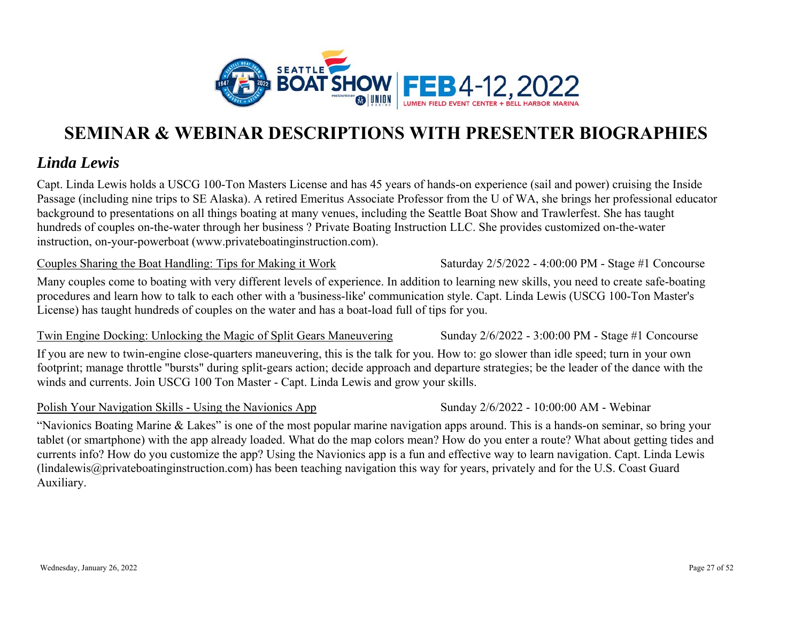

### *Linda Lewis*

Capt. Linda Lewis holds a USCG 100-Ton Masters License and has 45 years of hands-on experience (sail and power) cruising the Inside Passage (including nine trips to SE Alaska). A retired Emeritus Associate Professor from the U of WA, she brings her professional educator background to presentations on all things boating at many venues, including the Seattle Boat Show and Trawlerfest. She has taught hundreds of couples on-the-water through her business ? Private Boating Instruction LLC. She provides customized on-the-water instruction, on-your-powerboat (www.privateboatinginstruction.com).

#### Couples Sharing the Boat Handling: Tips for Making it Work

Many couples come to boating with very different levels of experience. In addition to learning new skills, you need to create safe-boating procedures and learn how to talk to each other with a 'business-like' communication style. Capt. Linda Lewis (USCG 100-Ton Master's License) has taught hundreds of couples on the water and has a boat-load full of tips for you.

Twin Engine Docking: Unlocking the Magic of Split Gears Maneuvering

If you are new to twin-engine close-quarters maneuvering, this is the talk for you. How to: go slower than idle speed; turn in your own footprint; manage throttle "bursts" during split-gears action; decide approach and departure strategies; be the leader of the dance with the winds and currents. Join USCG 100 Ton Master - Capt. Linda Lewis and grow your skills.

#### Polish Your Navigation Skills - Using the Navionics App

"Navionics Boating Marine & Lakes" is one of the most popular marine navigation apps around. This is a hands-on seminar, so bring your tablet (or smartphone) with the app already loaded. What do the map colors mean? How do you enter a route? What about getting tides and currents info? How do you customize the app? Using the Navionics app is a fun and effective way to learn navigation. Capt. Linda Lewis (lindalewis@privateboatinginstruction.com) has been teaching navigation this way for years, privately and for the U.S. Coast Guard Auxiliary.

Saturday 2/5/2022 - 4:00:00 PM - Stage #1 Concourse

Sunday 2/6/2022 - 3:00:00 PM - Stage #1 Concourse

Sunday 2/6/2022 - 10:00:00 AM - Webinar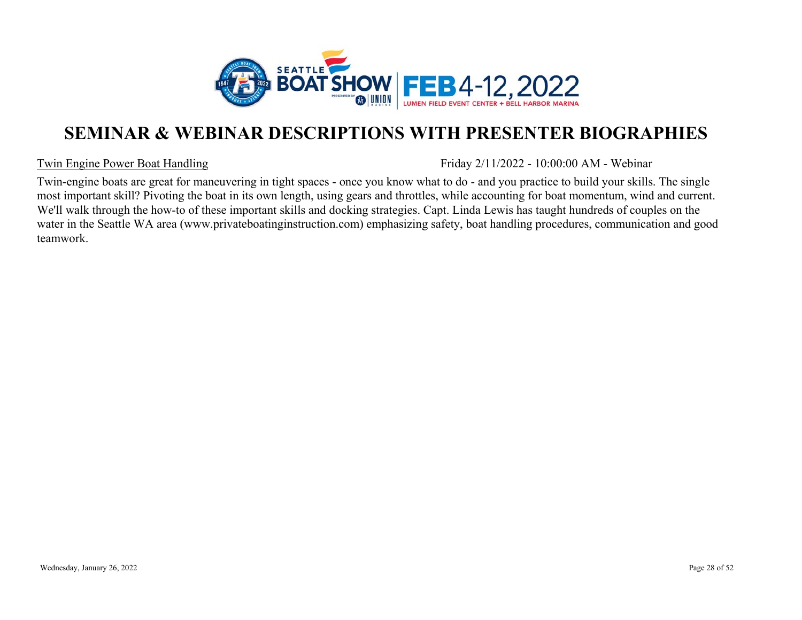

#### Twin Engine Power Boat Handling

Friday 2/11/2022 - 10:00:00 AM - Webinar

Twin-engine boats are great for maneuvering in tight spaces - once you know what to do - and you practice to build your skills. The single most important skill? Pivoting the boat in its own length, using gears and throttles, while accounting for boat momentum, wind and current. We'll walk through the how-to of these important skills and docking strategies. Capt. Linda Lewis has taught hundreds of couples on the water in the Seattle WA area (www.privateboatinginstruction.com) emphasizing safety, boat handling procedures, communication and good teamwork.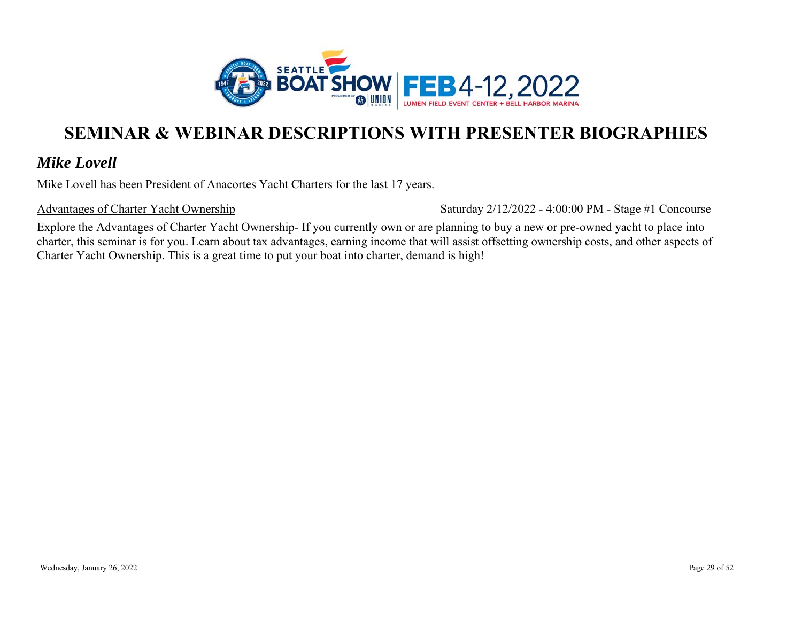

### *Mike Lovell*

Mike Lovell has been President of Anacortes Yacht Charters for the last 17 years.

Advantages of Charter Yacht Ownership

Saturday 2/12/2022 - 4:00:00 PM - Stage #1 Concourse

Explore the Advantages of Charter Yacht Ownership- If you currently own or are planning to buy a new or pre-owned yacht to place into charter, this seminar is for you. Learn about tax advantages, earning income that will assist offsetting ownership costs, and other aspects of Charter Yacht Ownership. This is a great time to put your boat into charter, demand is high!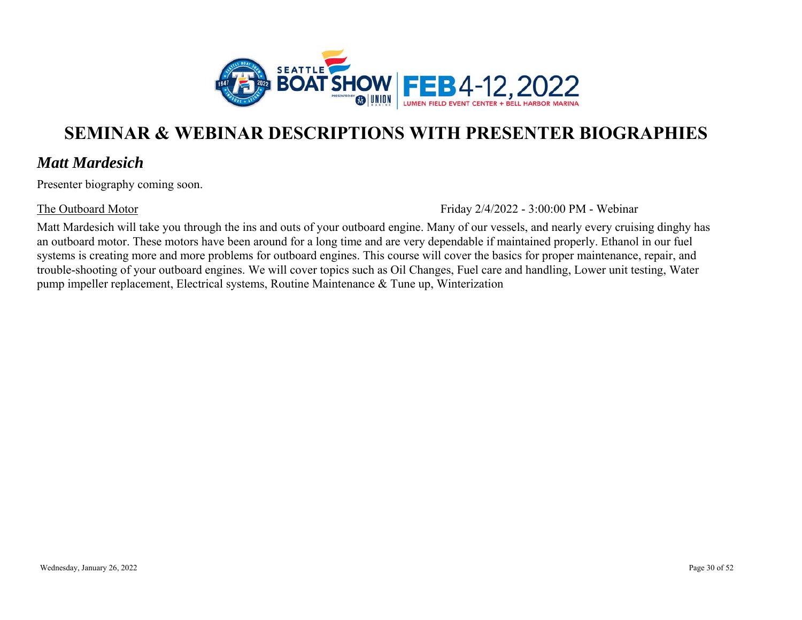

### *Matt Mardesich*

Presenter biography coming soon.

#### The Outboard Motor

Friday 2/4/2022 - 3:00:00 PM - Webinar

Matt Mardesich will take you through the ins and outs of your outboard engine. Many of our vessels, and nearly every cruising dinghy has an outboard motor. These motors have been around for a long time and are very dependable if maintained properly. Ethanol in our fuel systems is creating more and more problems for outboard engines. This course will cover the basics for proper maintenance, repair, and trouble-shooting of your outboard engines. We will cover topics such as Oil Changes, Fuel care and handling, Lower unit testing, Water pump impeller replacement, Electrical systems, Routine Maintenance & Tune up, Winterization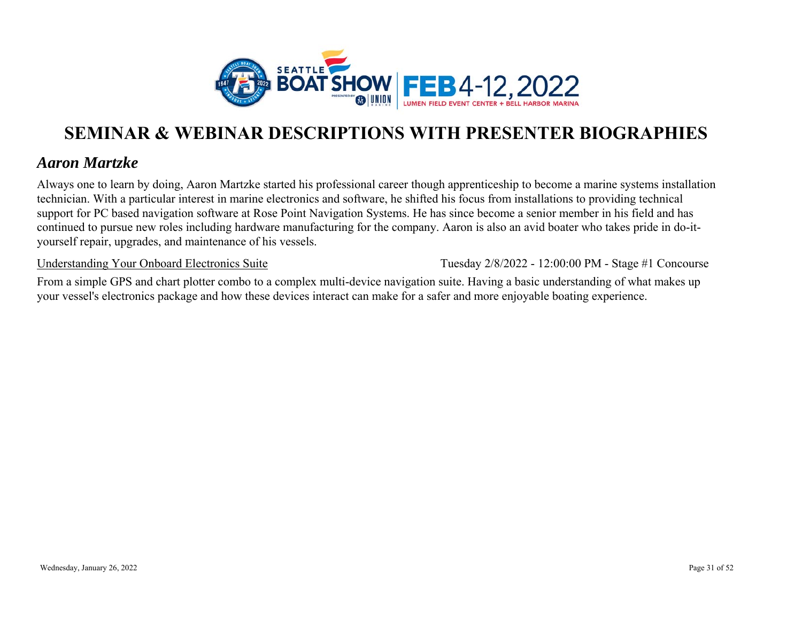

### *Aaron Martzke*

Always one to learn by doing, Aaron Martzke started his professional career though apprenticeship to become a marine systems installation technician. With a particular interest in marine electronics and software, he shifted his focus from installations to providing technical support for PC based navigation software at Rose Point Navigation Systems. He has since become a senior member in his field and has continued to pursue new roles including hardware manufacturing for the company. Aaron is also an avid boater who takes pride in do-ityourself repair, upgrades, and maintenance of his vessels.

Understanding Your Onboard Electronics Suite

Tuesday 2/8/2022 - 12:00:00 PM - Stage #1 Concourse

From a simple GPS and chart plotter combo to a complex multi-device navigation suite. Having a basic understanding of what makes up your vessel's electronics package and how these devices interact can make for a safer and more enjoyable boating experience.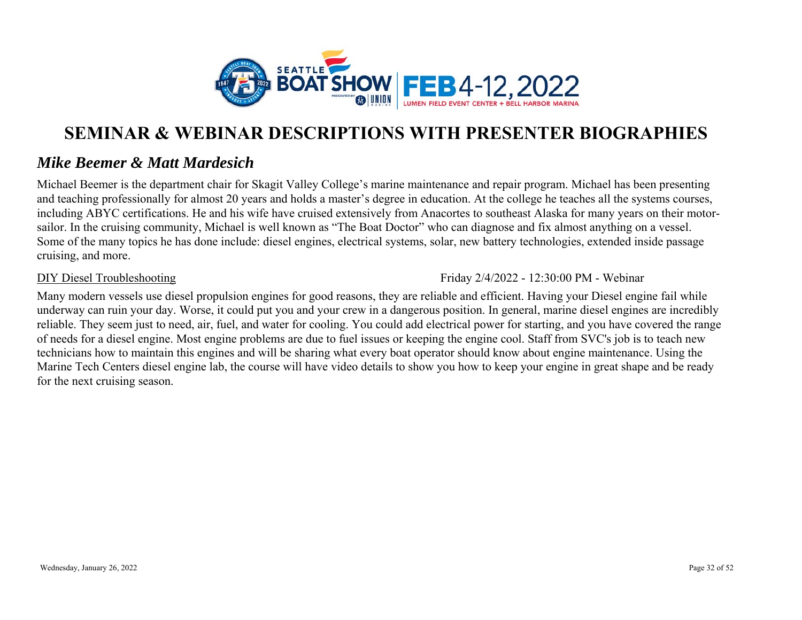

### *Mike Beemer & Matt Mardesich*

Michael Beemer is the department chair for Skagit Valley College's marine maintenance and repair program. Michael has been presenting and teaching professionally for almost 20 years and holds a master's degree in education. At the college he teaches all the systems courses, including ABYC certifications. He and his wife have cruised extensively from Anacortes to southeast Alaska for many years on their motorsailor. In the cruising community, Michael is well known as "The Boat Doctor" who can diagnose and fix almost anything on a vessel. Some of the many topics he has done include: diesel engines, electrical systems, solar, new battery technologies, extended inside passage cruising, and more.

#### DIY Diesel Troubleshooting

Friday 2/4/2022 - 12:30:00 PM - Webinar

Many modern vessels use diesel propulsion engines for good reasons, they are reliable and efficient. Having your Diesel engine fail while underway can ruin your day. Worse, it could put you and your crew in a dangerous position. In general, marine diesel engines are incredibly reliable. They seem just to need, air, fuel, and water for cooling. You could add electrical power for starting, and you have covered the range of needs for a diesel engine. Most engine problems are due to fuel issues or keeping the engine cool. Staff from SVC's job is to teach new technicians how to maintain this engines and will be sharing what every boat operator should know about engine maintenance. Using the Marine Tech Centers diesel engine lab, the course will have video details to show you how to keep your engine in great shape and be ready for the next cruising season.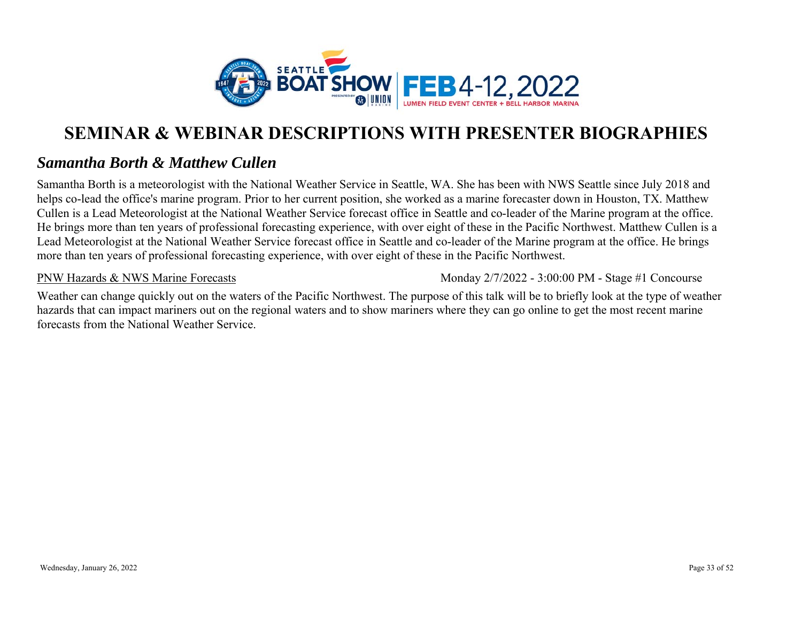

### *Samantha Borth & Matthew Cullen*

Samantha Borth is a meteorologist with the National Weather Service in Seattle, WA. She has been with NWS Seattle since July 2018 and helps co-lead the office's marine program. Prior to her current position, she worked as a marine forecaster down in Houston, TX. Matthew Cullen is a Lead Meteorologist at the National Weather Service forecast office in Seattle and co-leader of the Marine program at the office. He brings more than ten years of professional forecasting experience, with over eight of these in the Pacific Northwest. Matthew Cullen is a Lead Meteorologist at the National Weather Service forecast office in Seattle and co-leader of the Marine program at the office. He brings more than ten years of professional forecasting experience, with over eight of these in the Pacific Northwest.

PNW Hazards & NWS Marine Forecasts

Monday 2/7/2022 - 3:00:00 PM - Stage #1 Concourse

Weather can change quickly out on the waters of the Pacific Northwest. The purpose of this talk will be to briefly look at the type of weather hazards that can impact mariners out on the regional waters and to show mariners where they can go online to get the most recent marine forecasts from the National Weather Service.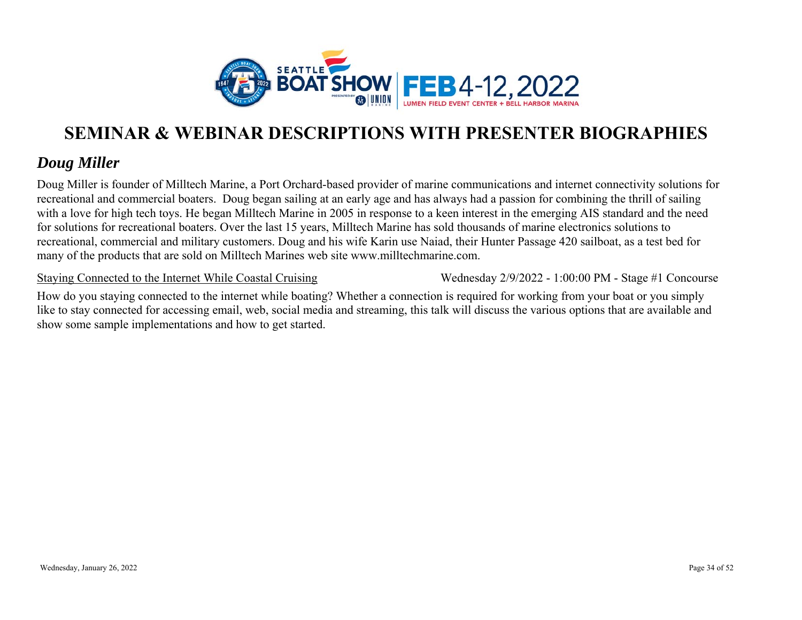

### *Doug Miller*

Doug Miller is founder of Milltech Marine, a Port Orchard-based provider of marine communications and internet connectivity solutions for recreational and commercial boaters. Doug began sailing at an early age and has always had a passion for combining the thrill of sailing with a love for high tech toys. He began Milltech Marine in 2005 in response to a keen interest in the emerging AIS standard and the need for solutions for recreational boaters. Over the last 15 years, Milltech Marine has sold thousands of marine electronics solutions to recreational, commercial and military customers. Doug and his wife Karin use Naiad, their Hunter Passage 420 sailboat, as a test bed for many of the products that are sold on Milltech Marines web site www.milltechmarine.com.

Staying Connected to the Internet While Coastal Cruising

Wednesday 2/9/2022 - 1:00:00 PM - Stage #1 Concourse

How do you staying connected to the internet while boating? Whether a connection is required for working from your boat or you simply like to stay connected for accessing email, web, social media and streaming, this talk will discuss the various options that are available and show some sample implementations and how to get started.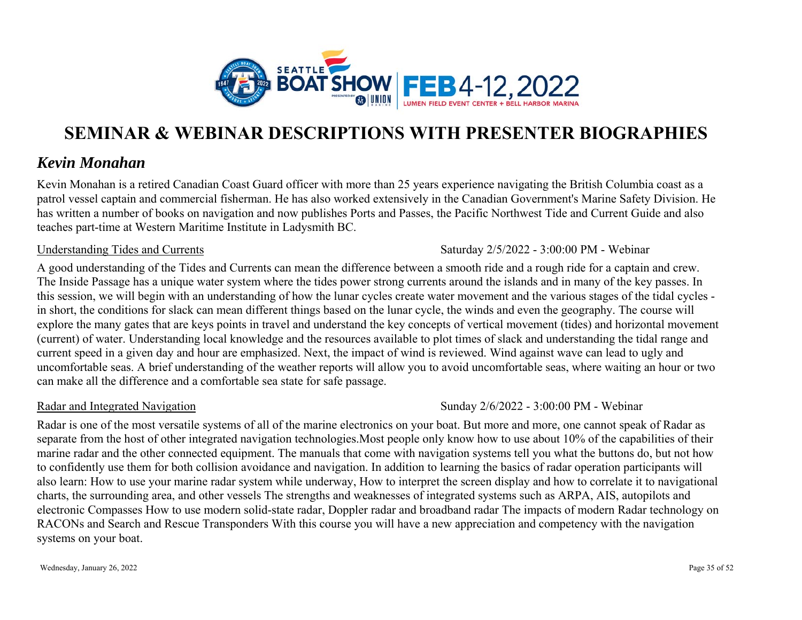

### *Kevin Monahan*

Kevin Monahan is a retired Canadian Coast Guard officer with more than 25 years experience navigating the British Columbia coast as a patrol vessel captain and commercial fisherman. He has also worked extensively in the Canadian Government's Marine Safety Division. He has written a number of books on navigation and now publishes Ports and Passes, the Pacific Northwest Tide and Current Guide and also teaches part-time at Western Maritime Institute in Ladysmith BC.

#### Understanding Tides and Currents

#### Saturday 2/5/2022 - 3:00:00 PM - Webinar

A good understanding of the Tides and Currents can mean the difference between a smooth ride and a rough ride for a captain and crew. The Inside Passage has a unique water system where the tides power strong currents around the islands and in many of the key passes. In this session, we will begin with an understanding of how the lunar cycles create water movement and the various stages of the tidal cycles in short, the conditions for slack can mean different things based on the lunar cycle, the winds and even the geography. The course will explore the many gates that are keys points in travel and understand the key concepts of vertical movement (tides) and horizontal movement (current) of water. Understanding local knowledge and the resources available to plot times of slack and understanding the tidal range and current speed in a given day and hour are emphasized. Next, the impact of wind is reviewed. Wind against wave can lead to ugly and uncomfortable seas. A brief understanding of the weather reports will allow you to avoid uncomfortable seas, where waiting an hour or two can make all the difference and a comfortable sea state for safe passage.

#### Radar and Integrated Navigation

Sunday 2/6/2022 - 3:00:00 PM - Webinar

Radar is one of the most versatile systems of all of the marine electronics on your boat. But more and more, one cannot speak of Radar as separate from the host of other integrated navigation technologies.Most people only know how to use about 10% of the capabilities of their marine radar and the other connected equipment. The manuals that come with navigation systems tell you what the buttons do, but not how to confidently use them for both collision avoidance and navigation. In addition to learning the basics of radar operation participants will also learn: How to use your marine radar system while underway, How to interpret the screen display and how to correlate it to navigational charts, the surrounding area, and other vessels The strengths and weaknesses of integrated systems such as ARPA, AIS, autopilots and electronic Compasses How to use modern solid-state radar, Doppler radar and broadband radar The impacts of modern Radar technology on RACONs and Search and Rescue Transponders With this course you will have a new appreciation and competency with the navigation systems on your boat.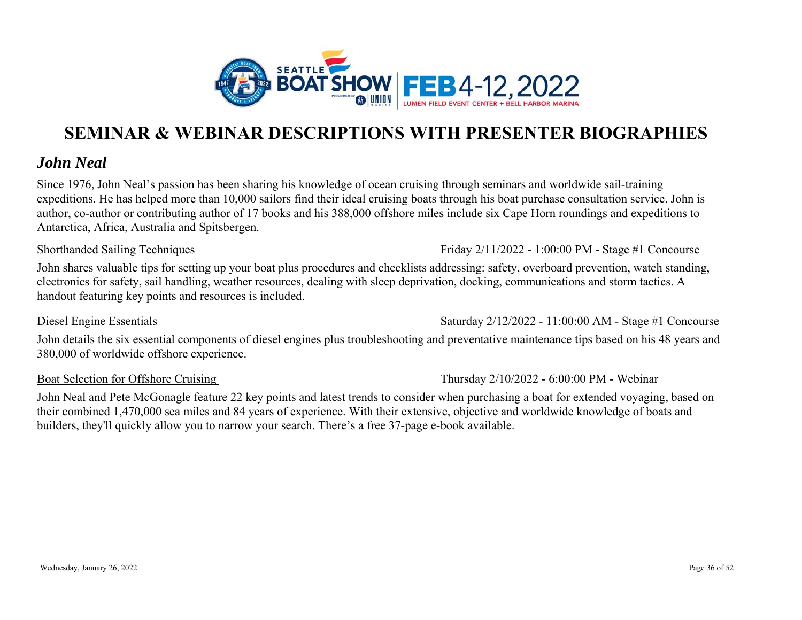

### *John Neal*

Since 1976, John Neal's passion has been sharing his knowledge of ocean cruising through seminars and worldwide sail-training expeditions. He has helped more than 10,000 sailors find their ideal cruising boats through his boat purchase consultation service. John is author, co-author or contributing author of 17 books and his 388,000 offshore miles include six Cape Horn roundings and expeditions to Antarctica, Africa, Australia and Spitsbergen.

#### Shorthanded Sailing Techniques

John shares valuable tips for setting up your boat plus procedures and checklists addressing: safety, overboard prevention, watch standing, electronics for safety, sail handling, weather resources, dealing with sleep deprivation, docking, communications and storm tactics. A handout featuring key points and resources is included.

Diesel Engine Essentials

John details the six essential components of diesel engines plus troubleshooting and preventative maintenance tips based on his 48 years and 380,000 of worldwide offshore experience.

#### Boat Selection for Offshore Cruising

John Neal and Pete McGonagle feature 22 key points and latest trends to consider when purchasing a boat for extended voyaging, based on their combined 1,470,000 sea miles and 84 years of experience. With their extensive, objective and worldwide knowledge of boats and builders, they'll quickly allow you to narrow your search. There's a free 37-page e-book available.

Thursday 2/10/2022 - 6:00:00 PM - Webinar

Friday 2/11/2022 - 1:00:00 PM - Stage #1 Concourse

Saturday 2/12/2022 - 11:00:00 AM - Stage #1 Concourse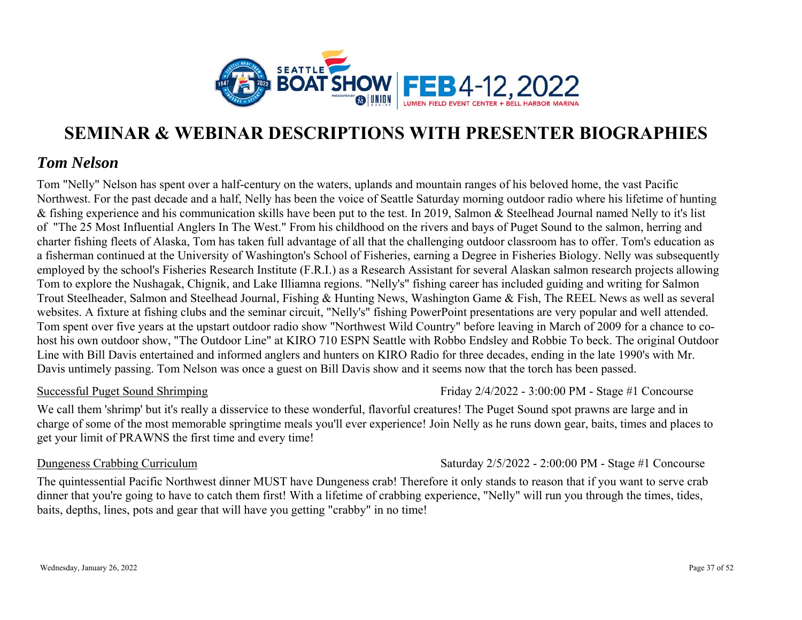

### *Tom Nelson*

Tom "Nelly" Nelson has spent over a half-century on the waters, uplands and mountain ranges of his beloved home, the vast Pacific Northwest. For the past decade and a half, Nelly has been the voice of Seattle Saturday morning outdoor radio where his lifetime of hunting & fishing experience and his communication skills have been put to the test. In 2019, Salmon & Steelhead Journal named Nelly to it's list of "The 25 Most Influential Anglers In The West." From his childhood on the rivers and bays of Puget Sound to the salmon, herring and charter fishing fleets of Alaska, Tom has taken full advantage of all that the challenging outdoor classroom has to offer. Tom's education as a fisherman continued at the University of Washington's School of Fisheries, earning a Degree in Fisheries Biology. Nelly was subsequently employed by the school's Fisheries Research Institute (F.R.I.) as a Research Assistant for several Alaskan salmon research projects allowing Tom to explore the Nushagak, Chignik, and Lake Illiamna regions. "Nelly's" fishing career has included guiding and writing for Salmon Trout Steelheader, Salmon and Steelhead Journal, Fishing & Hunting News, Washington Game & Fish, The REEL News as well as several websites. A fixture at fishing clubs and the seminar circuit, "Nelly's" fishing PowerPoint presentations are very popular and well attended. Tom spent over five years at the upstart outdoor radio show "Northwest Wild Country" before leaving in March of 2009 for a chance to cohost his own outdoor show, "The Outdoor Line" at KIRO 710 ESPN Seattle with Robbo Endsley and Robbie To beck. The original Outdoor Line with Bill Davis entertained and informed anglers and hunters on KIRO Radio for three decades, ending in the late 1990's with Mr. Davis untimely passing. Tom Nelson was once a guest on Bill Davis show and it seems now that the torch has been passed.

#### Successful Puget Sound Shrimping

We call them 'shrimp' but it's really a disservice to these wonderful, flavorful creatures! The Puget Sound spot prawns are large and in charge of some of the most memorable springtime meals you'll ever experience! Join Nelly as he runs down gear, baits, times and places to get your limit of PRAWNS the first time and every time!

#### Dungeness Crabbing Curriculum

Saturday 2/5/2022 - 2:00:00 PM - Stage #1 Concourse

Friday 2/4/2022 - 3:00:00 PM - Stage #1 Concourse

The quintessential Pacific Northwest dinner MUST have Dungeness crab! Therefore it only stands to reason that if you want to serve crab dinner that you're going to have to catch them first! With a lifetime of crabbing experience, "Nelly" will run you through the times, tides, baits, depths, lines, pots and gear that will have you getting "crabby" in no time!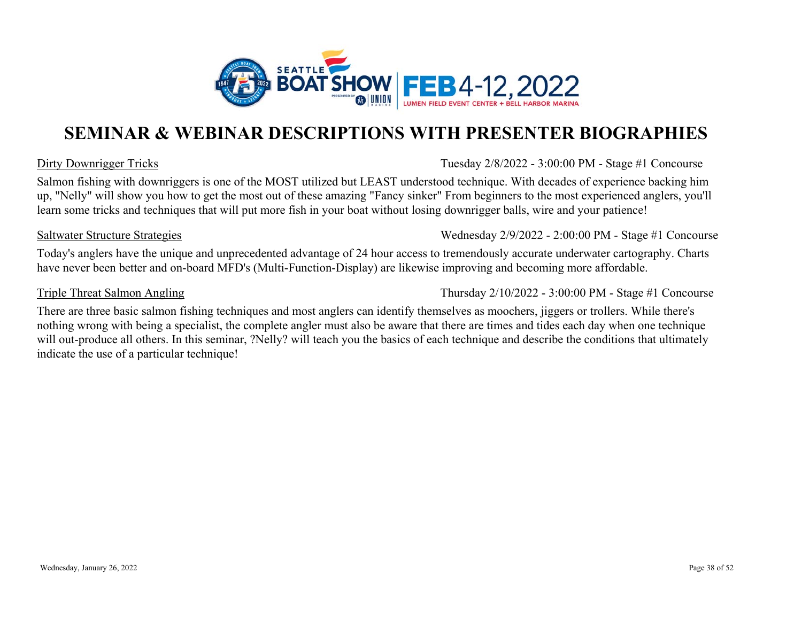

#### Dirty Downrigger Tricks

Tuesday 2/8/2022 - 3:00:00 PM - Stage #1 Concourse

Salmon fishing with downriggers is one of the MOST utilized but LEAST understood technique. With decades of experience backing him up, "Nelly" will show you how to get the most out of these amazing "Fancy sinker" From beginners to the most experienced anglers, you'll learn some tricks and techniques that will put more fish in your boat without losing downrigger balls, wire and your patience!

#### Saltwater Structure Strategies

Today's anglers have the unique and unprecedented advantage of 24 hour access to tremendously accurate underwater cartography. Charts have never been better and on-board MFD's (Multi-Function-Display) are likewise improving and becoming more affordable.

#### Triple Threat Salmon Angling

Thursday 2/10/2022 - 3:00:00 PM - Stage #1 Concourse

Wednesday 2/9/2022 - 2:00:00 PM - Stage #1 Concourse

There are three basic salmon fishing techniques and most anglers can identify themselves as moochers, jiggers or trollers. While there's nothing wrong with being a specialist, the complete angler must also be aware that there are times and tides each day when one technique will out-produce all others. In this seminar, ?Nelly? will teach you the basics of each technique and describe the conditions that ultimately indicate the use of a particular technique!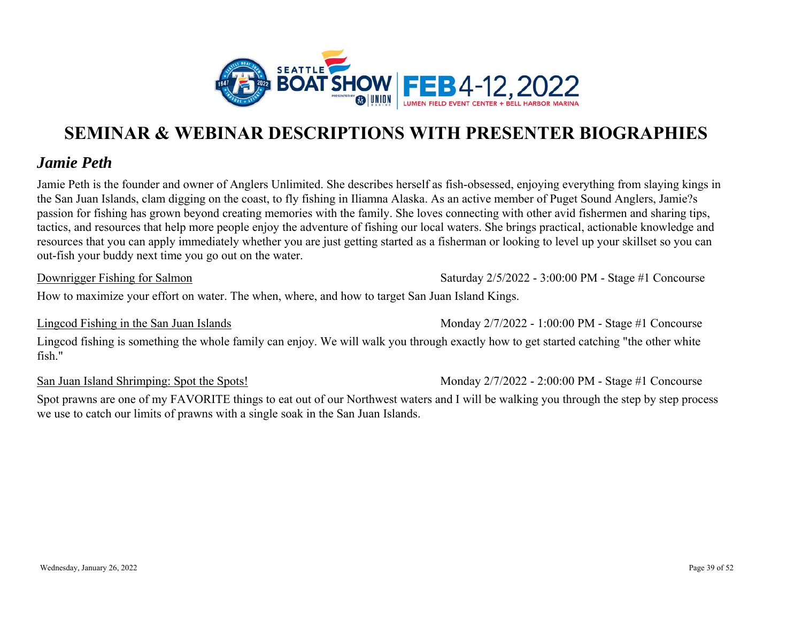

### *Jamie Peth*

Jamie Peth is the founder and owner of Anglers Unlimited. She describes herself as fish-obsessed, enjoying everything from slaying kings in the San Juan Islands, clam digging on the coast, to fly fishing in Iliamna Alaska. As an active member of Puget Sound Anglers, Jamie?s passion for fishing has grown beyond creating memories with the family. She loves connecting with other avid fishermen and sharing tips, tactics, and resources that help more people enjoy the adventure of fishing our local waters. She brings practical, actionable knowledge and resources that you can apply immediately whether you are just getting started as a fisherman or looking to level up your skillset so you can out-fish your buddy next time you go out on the water.

Downrigger Fishing for Salmon

Saturday 2/5/2022 - 3:00:00 PM - Stage #1 Concourse

How to maximize your effort on water. The when, where, and how to target San Juan Island Kings.

Lingcod Fishing in the San Juan Islands

Monday 2/7/2022 - 1:00:00 PM - Stage #1 Concourse

Lingcod fishing is something the whole family can enjoy. We will walk you through exactly how to get started catching "the other white fish."

San Juan Island Shrimping: Spot the Spots!

Monday 2/7/2022 - 2:00:00 PM - Stage #1 Concourse

Spot prawns are one of my FAVORITE things to eat out of our Northwest waters and I will be walking you through the step by step process we use to catch our limits of prawns with a single soak in the San Juan Islands.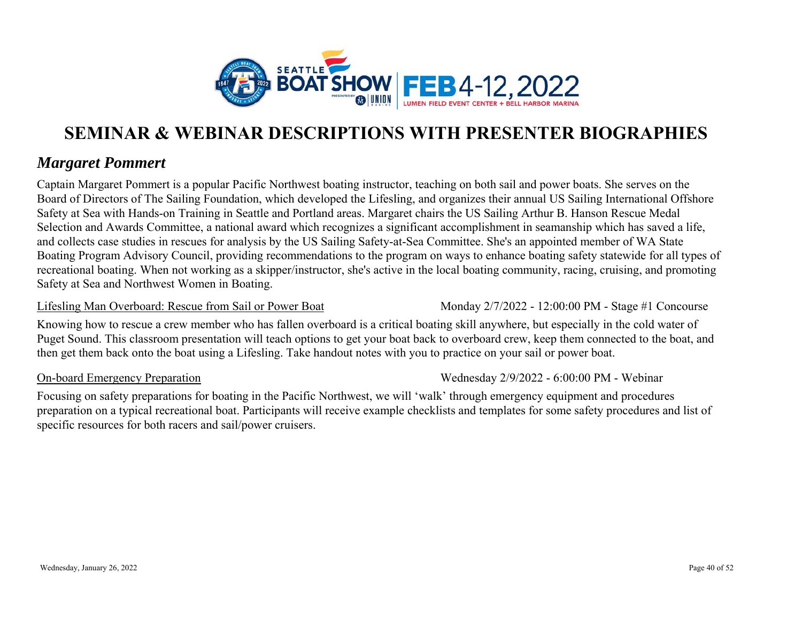

### *Margaret Pommert*

Captain Margaret Pommert is a popular Pacific Northwest boating instructor, teaching on both sail and power boats. She serves on the Board of Directors of The Sailing Foundation, which developed the Lifesling, and organizes their annual US Sailing International Offshore Safety at Sea with Hands-on Training in Seattle and Portland areas. Margaret chairs the US Sailing Arthur B. Hanson Rescue Medal Selection and Awards Committee, a national award which recognizes a significant accomplishment in seamanship which has saved a life, and collects case studies in rescues for analysis by the US Sailing Safety-at-Sea Committee. She's an appointed member of WA State Boating Program Advisory Council, providing recommendations to the program on ways to enhance boating safety statewide for all types of recreational boating. When not working as a skipper/instructor, she's active in the local boating community, racing, cruising, and promoting Safety at Sea and Northwest Women in Boating.

#### Lifesling Man Overboard: Rescue from Sail or Power Boat

Knowing how to rescue a crew member who has fallen overboard is a critical boating skill anywhere, but especially in the cold water of Puget Sound. This classroom presentation will teach options to get your boat back to overboard crew, keep them connected to the boat, and then get them back onto the boat using a Lifesling. Take handout notes with you to practice on your sail or power boat.

#### On-board Emergency Preparation

Wednesday 2/9/2022 - 6:00:00 PM - Webinar

Monday 2/7/2022 - 12:00:00 PM - Stage #1 Concourse

Focusing on safety preparations for boating in the Pacific Northwest, we will 'walk' through emergency equipment and procedures preparation on a typical recreational boat. Participants will receive example checklists and templates for some safety procedures and list of specific resources for both racers and sail/power cruisers.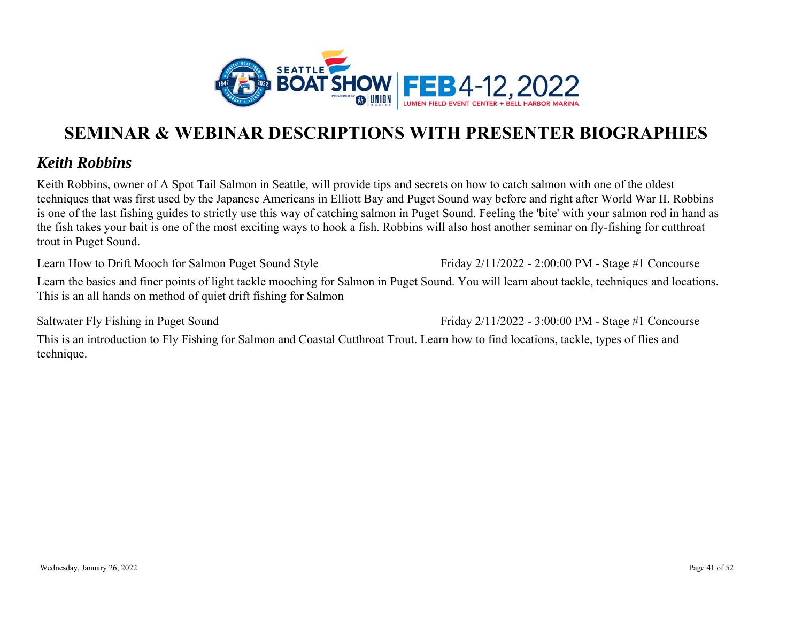

### *Keith Robbins*

Keith Robbins, owner of A Spot Tail Salmon in Seattle, will provide tips and secrets on how to catch salmon with one of the oldest techniques that was first used by the Japanese Americans in Elliott Bay and Puget Sound way before and right after World War II. Robbins is one of the last fishing guides to strictly use this way of catching salmon in Puget Sound. Feeling the 'bite' with your salmon rod in hand as the fish takes your bait is one of the most exciting ways to hook a fish. Robbins will also host another seminar on fly-fishing for cutthroat trout in Puget Sound.

Learn How to Drift Mooch for Salmon Puget Sound Style

Friday 2/11/2022 - 2:00:00 PM - Stage #1 Concourse

Learn the basics and finer points of light tackle mooching for Salmon in Puget Sound. You will learn about tackle, techniques and locations. This is an all hands on method of quiet drift fishing for Salmo n

Saltwater Fly Fishing in Puget Sound

Friday 2/11/2022 - 3:00:00 PM - Stage #1 Concourse

This is an introduction to Fly Fishing for Salmon and Coastal Cutthroat Trout. Learn how to find locations, tackle, types of flies and technique.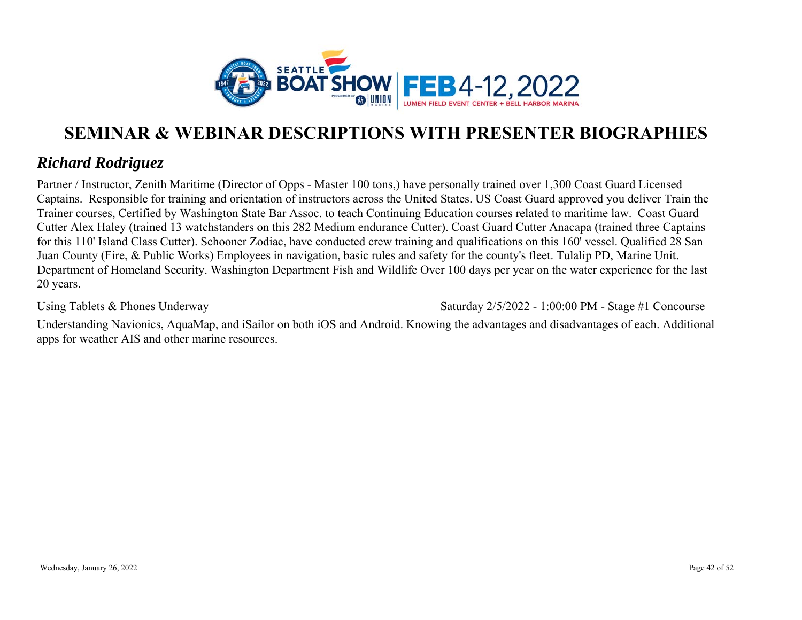

### *Richard Rodriguez*

Partner / Instructor, Zenith Maritime (Director of Opps - Master 100 tons,) have personally trained over 1,300 Coast Guard Licensed Captains. Responsible for training and orientation of instructors across the United States. US Coast Guard approved you deliver Train the Trainer courses, Certified by Washington State Bar Assoc. to teach Continuing Education courses related to maritime law. Coast Guard Cutter Alex Haley (trained 13 watchstanders on this 282 Medium endurance Cutter). Coast Guard Cutter Anacapa (trained three Captains for this 110' Island Class Cutter). Schooner Zodiac, have conducted crew training and qualifications on this 160' vessel. Qualified 28 San Juan County (Fire, & Public Works) Employees in navigation, basic rules and safety for the county's fleet. Tulalip PD, Marine Unit. Department of Homeland Security. Washington Department Fish and Wildlife Over 100 days per year on the water experience for the last 20 years.

#### Using Tablets & Phones Underway

Saturday 2/5/2022 - 1:00:00 PM - Stage #1 Concourse

Understanding Navionics, AquaMap, and iSailor on both iOS and Android. Knowing the advantages and disadvantages of each. Additional apps for weather AIS and other marine resources.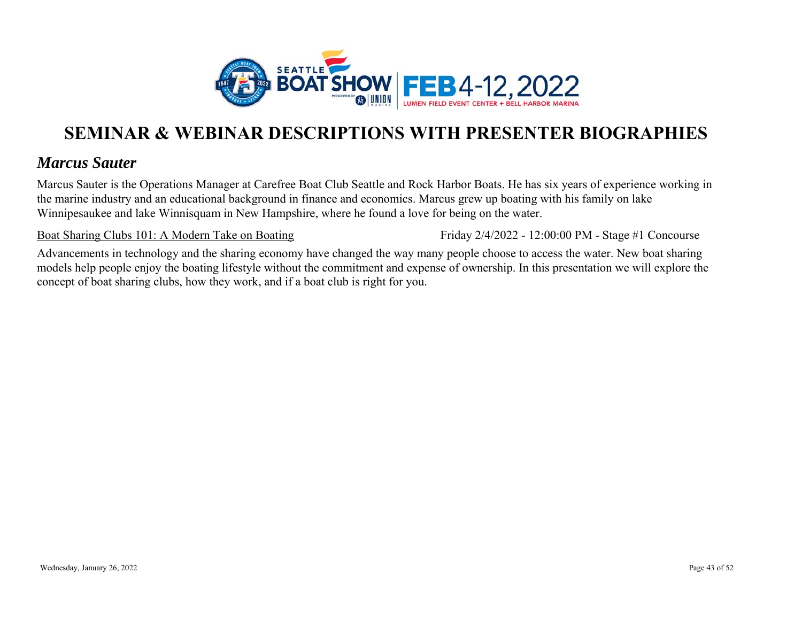

### *Marcus Sauter*

Marcus Sauter is the Operations Manager at Carefree Boat Club Seattle and Rock Harbor Boats. He has six years of experience working in the marine industry and an educational background in finance and economics. Marcus grew up boating with his family on lake Winnipesaukee and lake Winnisquam in New Hampshire, where he found a love for being on the water.

Boat Sharing Clubs 101: A Modern Take on Boating

Friday 2/4/2022 - 12:00:00 PM - Stage #1 Concourse

Advancements in technology and the sharing economy have changed the way many people choose to access the water. New boat sharing models help people enjoy the boating lifestyle without the commitment and expense of ownership. In this presentation we will explore the concept of boat sharing clubs, how they work, and if a boat club is right for you.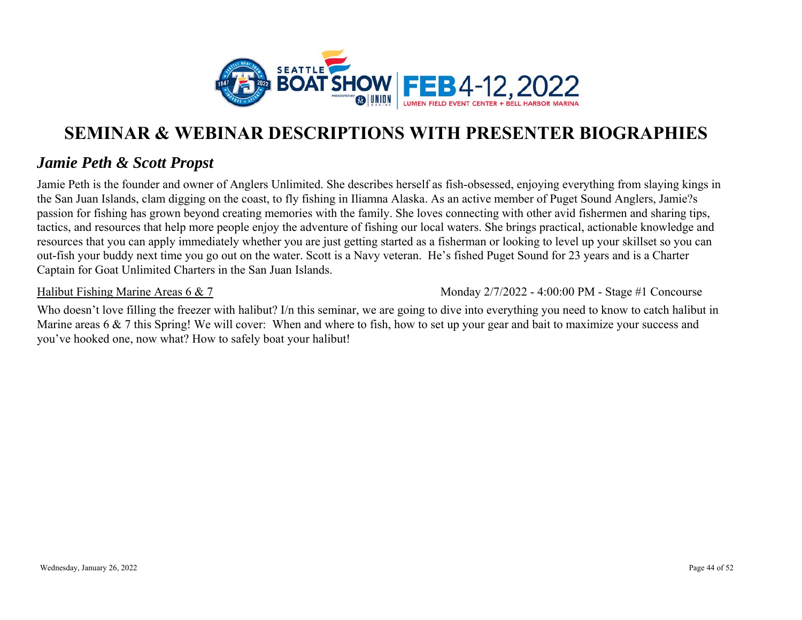

### *Jamie Peth & Scott Propst*

Jamie Peth is the founder and owner of Anglers Unlimited. She describes herself as fish-obsessed, enjoying everything from slaying kings in the San Juan Islands, clam digging on the coast, to fly fishing in Iliamna Alaska. As an active member of Puget Sound Anglers, Jamie?s passion for fishing has grown beyond creating memories with the family. She loves connecting with other avid fishermen and sharing tips, tactics, and resources that help more people enjoy the adventure of fishing our local waters. She brings practical, actionable knowledge and resources that you can apply immediately whether you are just getting started as a fisherman or looking to level up your skillset so you can out-fish your buddy next time you go out on the water. Scott is a Navy veteran. He's fished Puget Sound for 23 years and is a Charter Captain for Goat Unlimited Charters in the San Juan Islands.

Halibut Fishing Marine Areas 6 & 7

Monday 2/7/2022 - 4:00:00 PM - Stage #1 Concourse

Who doesn't love filling the freezer with halibut? I/n this seminar, we are going to dive into everything you need to know to catch halibut in Marine areas 6 & 7 this Spring! We will cover: When and where to fish, how to set up your gear and bait to maximize your success and you've hooked one, now what? How to safely boat your halibut!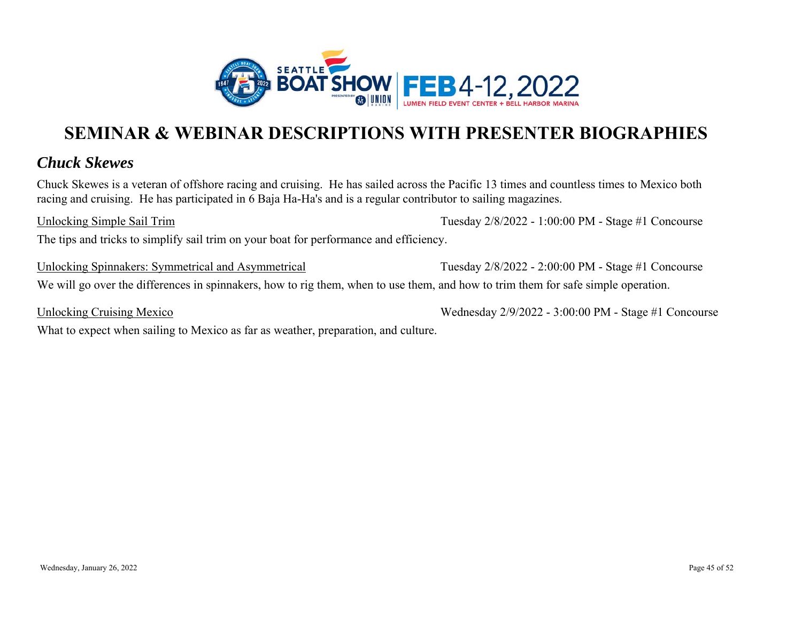

### *Chuck Skewes*

Chuck Skewes is a veteran of offshore racing and cruising. He has sailed across the Pacific 13 times and countless times to Mexico both racing and cruising. He has participated in 6 Baja Ha-Ha's and is a regular contributor to sailing magazines.

Unlocking Simple Sail Trim

Tuesday 2/8/2022 - 1:00:00 PM - Stage #1 Concourse

The tips and tricks to simplify sail trim on your boat for performance and efficiency.

Unlocking Spinnakers: Symmetrical and Asymmetrical We will go over the differences in spinnakers, how to rig them, when to use them, and how to trim them for safe simple operation. Tuesday 2/8/2022 - 2:00:00 PM - Stage #1 Concourse

Unlocking Cruising Mexico

What to expect when sailing to Mexico as far as weather, preparation, and culture.

Wednesday 2/9/2022 - 3:00:00 PM - Stage #1 Concourse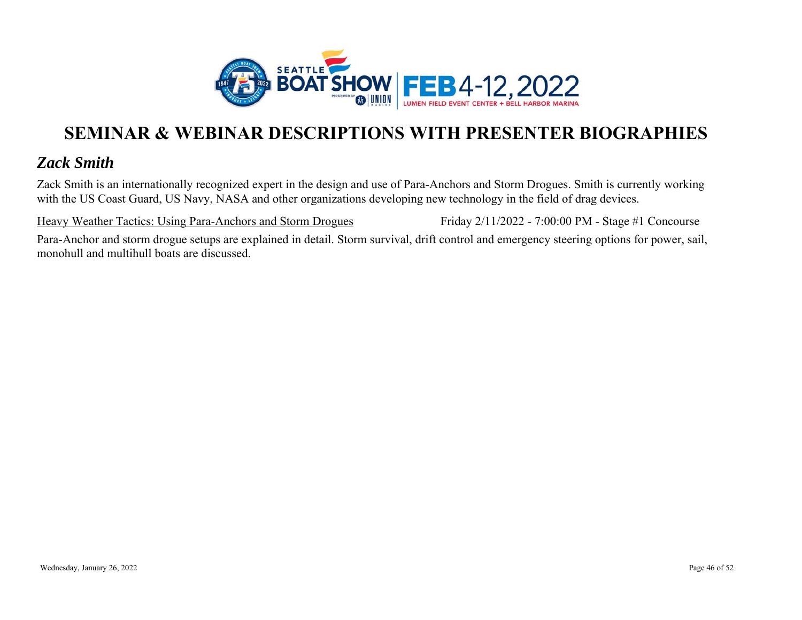

### *Zack Smith*

Zack Smith is an internationally recognized expert in the design and use of Para-Anchors and Storm Drogues. Smith is currently working with the US Coast Guard, US Navy, NASA and other organizations developing new technology in the field of drag devices.

Heavy Weather Tactics: Using Para-Anchors and Storm Drogues

Friday 2/11/2022 - 7:00:00 PM - Stage #1 Concourse

Para-Anchor and storm drogue setups are explained in detail. Storm survival, drift control and emergency steering options for power, sail, monohull and multihull boats are discussed.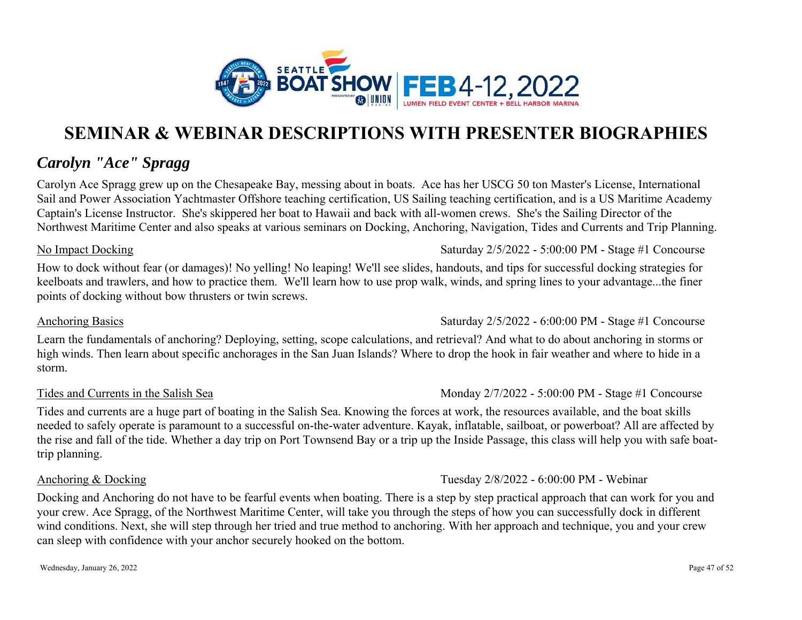

### *Carolyn "Ace" Spragg*

Carolyn Ace Spragg grew up on the Chesapeake Bay, messing about in boats. Ace has her USCG 50 ton Master's License, International Sail and Power Association Yachtmaster Offshore teaching certification, US Sailing teaching certification, and is a US Maritime Academy Captain's License Instructor. She's skippered her boat to Hawaii and back with all-women crews. She's the Sailing Director of the Northwest Maritime Center and also speaks at various seminars on Docking, Anchoring, Navigation, Tides and Currents and Trip Planning.

#### No Impact Docking

How to dock without fear (or damages)! No yelling! No leaping! We'll see slides, handouts, and tips for successful docking strategies for keelboats and trawlers, and how to practice them. We'll learn how to use prop walk, winds, and spring lines to your advantage...the finer points of docking without bow thrusters or twin screws.

#### Anchoring Basics

Learn the fundamentals of anchoring? Deploying, setting, scope calculations, and retrieval? And what to do about anchoring in storms or high winds. Then learn about specific anchorages in the San Juan Islands? Where to drop the hook in fair weather and where to hide in a storm.

#### Tides and Currents in the Salish Sea

Tides and currents are a huge part of boating in the Salish Sea. Knowing the forces at work, the resources available, and the boat skills needed to safely operate is paramount to a successful on-the-water adventure. Kayak, inflatable, sailboat, or powerboat? All are affected by the rise and fall of the tide. Whether a day trip on Port Townsend Bay or a trip up the Inside Passage, this class will help you with safe boattrip planning.

#### Anchoring & Docking

Tuesday 2/8/2022 - 6:00:00 PM - Webinar

Docking and Anchoring do not have to be fearful events when boating. There is a step by step practical approach that can work for you and your crew. Ace Spragg, of the Northwest Maritime Center, will take you through the steps of how you can successfully dock in different wind conditions. Next, she will step through her tried and true method to anchoring. With her approach and technique, you and your crew can sleep with confidence with your anchor securely hooked on the bottom.

Saturday 2/5/2022 - 5:00:00 PM - Stage #1 Concourse

### Monday 2/7/2022 - 5:00:00 PM - Stage #1 Concourse

Saturday 2/5/2022 - 6:00:00 PM - Stage #1 Concourse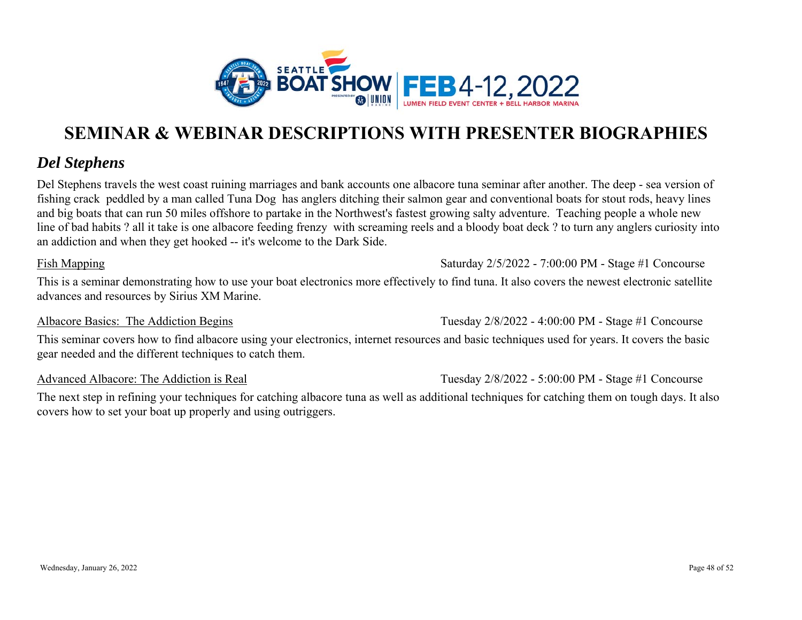

### *Del Stephens*

Del Stephens travels the west coast ruining marriages and bank accounts one albacore tuna seminar after another. The deep - sea version of fishing crack peddled by a man called Tuna Dog has anglers ditching their salmon gear and conventional boats for stout rods, heavy lines and big boats that can run 50 miles offshore to partake in the Northwest's fastest growing salty adventure. Teaching people a whole new line of bad habits ? all it take is one albacore feeding frenzy with screaming reels and a bloody boat deck ? to turn any anglers curiosity into an addiction and when they get hooked -- it's welcome to the Dark Side.

#### Fish Mapping

Saturday 2/5/2022 - 7:00:00 PM - Stage #1 Concourse

This is a seminar demonstrating how to use your boat electronics more effectively to find tuna. It also covers the newest electronic satellite advances and resources by Sirius XM Marine.

#### Albacore Basics: The Addiction Begins

This seminar covers how to find albacore using your electronics, internet resources and basic techniques used for years. It covers the basic gear needed and the different techniques to catch them.

Advanced Albacore: The Addiction is Real

Tuesday 2/8/2022 - 5:00:00 PM - Stage #1 Concourse

Tuesday 2/8/2022 - 4:00:00 PM - Stage #1 Concourse

The next step in refining your techniques for catching albacore tuna as well as additional techniques for catching them on tough days. It also covers how to set your boat up properly and using outriggers.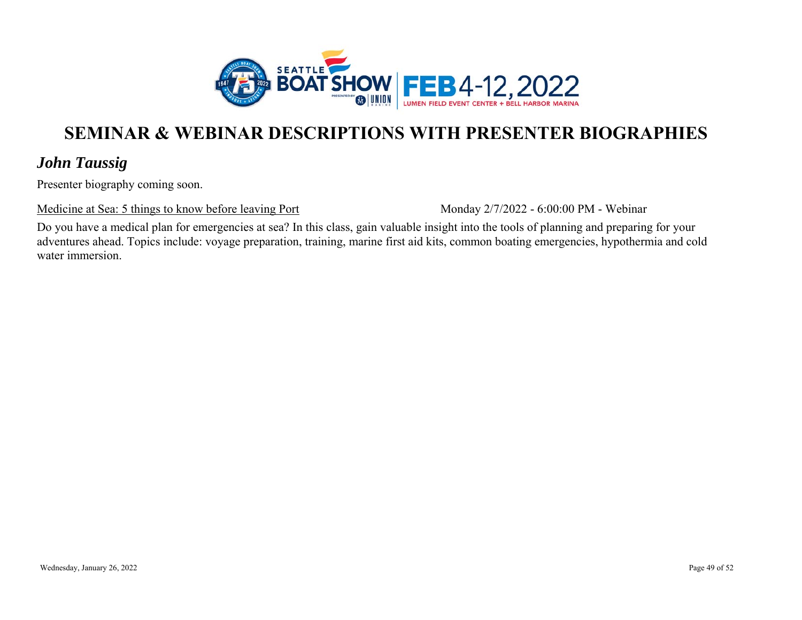

### *John Taussig*

Presenter biography coming soon.

Medicine at Sea: 5 things to know before leaving Port

Monday 2/7/2022 - 6:00:00 PM - Webinar

Do you have a medical plan for emergencies at sea? In this class, gain valuable insight into the tools of planning and preparing for your adventures ahead. Topics include: voyage preparation, training, marine first aid kits, common boating emergencies, hypothermia and cold water immersion.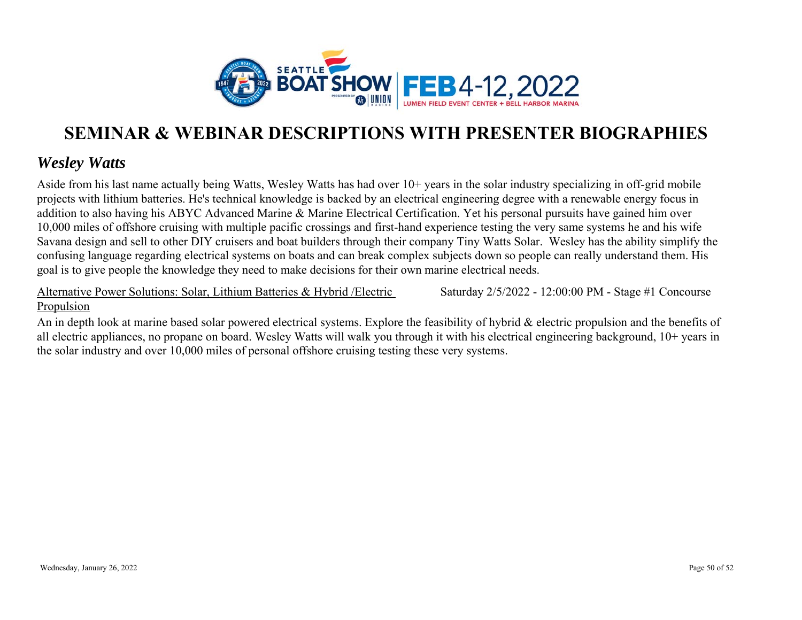

### *Wesley Watts*

Aside from his last name actually being Watts, Wesley Watts has had over 10+ years in the solar industry specializing in off-grid mobile projects with lithium batteries. He's technical knowledge is backed by an electrical engineering degree with a renewable energy focus in addition to also having his ABYC Advanced Marine & Marine Electrical Certification. Yet his personal pursuits have gained him over 10,000 miles of offshore cruising with multiple pacific crossings and first-hand experience testing the very same systems he and his wife Savana design and sell to other DIY cruisers and boat builders through their company Tiny Watts Solar. Wesley has the ability simplify the confusing language regarding electrical systems on boats and can break complex subjects down so people can really understand them. His goal is to give people the knowledge they need to make decisions for their own marine electrical needs.

Alternative Power Solutions: Solar, Lithium Batteries & Hybrid /Electric Propulsion

Saturday 2/5/2022 - 12:00:00 PM - Stage #1 Concourse

An in depth look at marine based solar powered electrical systems. Explore the feasibility of hybrid & electric propulsion and the benefits of all electric appliances, no propane on board. Wesley Watts will walk you through it with his electrical engineering background, 10+ years in the solar industry and over 10,000 miles of personal offshore cruising testing these very systems.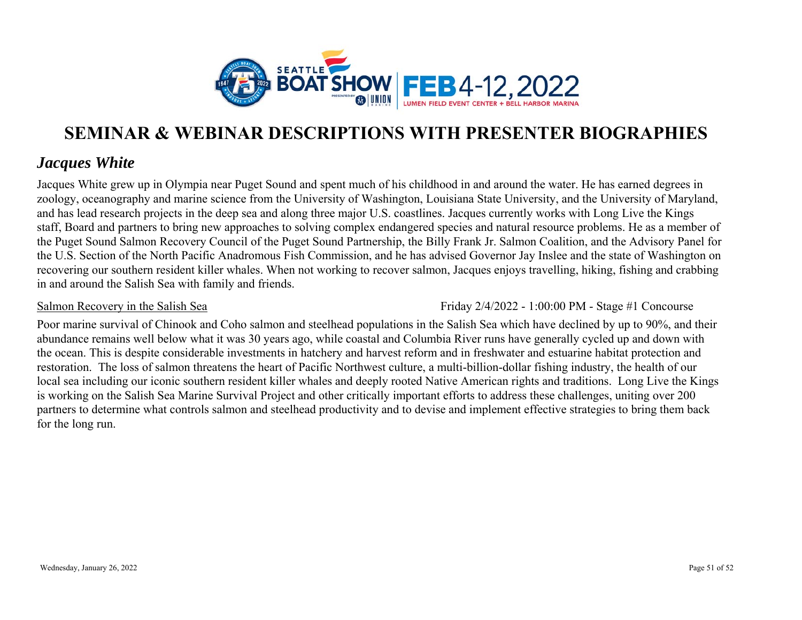

### *Jacques White*

Jacques White grew up in Olympia near Puget Sound and spent much of his childhood in and around the water. He has earned degrees in zoology, oceanography and marine science from the University of Washington, Louisiana State University, and the University of Maryland, and has lead research projects in the deep sea and along three major U.S. coastlines. Jacques currently works with Long Live the Kings staff, Board and partners to bring new approaches to solving complex endangered species and natural resource problems. He as a member of the Puget Sound Salmon Recovery Council of the Puget Sound Partnership, the Billy Frank Jr. Salmon Coalition, and the Advisory Panel for the U.S. Section of the North Pacific Anadromous Fish Commission, and he has advised Governor Jay Inslee and the state of Washington on recovering our southern resident killer whales. When not working to recover salmon, Jacques enjoys travelling, hiking, fishing and crabbing in and around the Salish Sea with family and friends.

#### Salmon Recovery in the Salish Sea

Friday 2/4/2022 - 1:00:00 PM - Stage #1 Concourse

Poor marine survival of Chinook and Coho salmon and steelhead populations in the Salish Sea which have declined by up to 90%, and their abundance remains well below what it was 30 years ago, while coastal and Columbia River runs have generally cycled up and down with the ocean. This is despite considerable investments in hatchery and harvest reform and in freshwater and estuarine habitat protection and restoration. The loss of salmon threatens the heart of Pacific Northwest culture, a multi-billion-dollar fishing industry, the health of our local sea including our iconic southern resident killer whales and deeply rooted Native American rights and traditions. Long Live the Kings is working on the Salish Sea Marine Survival Project and other critically important efforts to address these challenges, uniting over 200 partners to determine what controls salmon and steelhead productivity and to devise and implement effective strategies to bring them back for the long run.